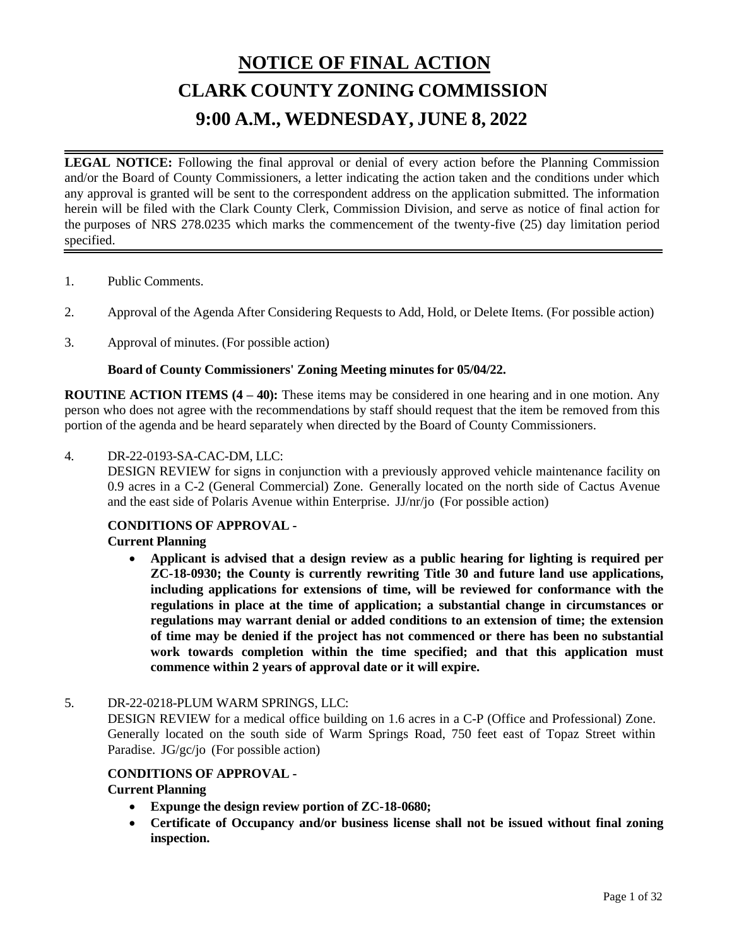# **NOTICE OF FINAL ACTION CLARK COUNTY ZONING COMMISSION 9:00 A.M., WEDNESDAY, JUNE 8, 2022**

**LEGAL NOTICE:** Following the final approval or denial of every action before the Planning Commission and/or the Board of County Commissioners, a letter indicating the action taken and the conditions under which any approval is granted will be sent to the correspondent address on the application submitted. The information herein will be filed with the Clark County Clerk, Commission Division, and serve as notice of final action for the purposes of NRS 278.0235 which marks the commencement of the twenty-five (25) day limitation period specified.

- 1. Public [Comments.](http://clark.legistar.com/gateway.aspx?m=l&id=/matter.aspx%3Fkey%3D8871)
- 2. Approval of the Agenda After [Considering](http://clark.legistar.com/gateway.aspx?m=l&id=/matter.aspx%3Fkey%3D8872) Requests to Add, Hold, or Delete Items. (For possible action)
- 3. [Approval](http://clark.legistar.com/gateway.aspx?m=l&id=/matter.aspx%3Fkey%3D8873) of minutes. (For possible action)

#### **Board of County Commissioners' Zoning Meeting minutes for 05/04/22.**

**ROUTINE ACTION ITEMS (4 – 40):** These items may be considered in one hearing and in one motion. Any person who does not agree with the recommendations by staff should request that the item be removed from this portion of the agenda and be heard separately when directed by the Board of County Commissioners.

# 4. [DR-22-0193-SA-CAC-DM,](http://clark.legistar.com/gateway.aspx?m=l&id=/matter.aspx%3Fkey%3D8874) LLC:

DESIGN REVIEW for signs in conjunction with a previously approved vehicle [maintenance](http://clark.legistar.com/gateway.aspx?m=l&id=/matter.aspx%3Fkey%3D8874) facility on 0.9 acres in a C-2 (General [Commercial\)](http://clark.legistar.com/gateway.aspx?m=l&id=/matter.aspx%3Fkey%3D8874) Zone. Generally located on the north side of Cactus Avenue [and the east side of Polaris Avenue within Enterprise.](http://clark.legistar.com/gateway.aspx?m=l&id=/matter.aspx%3Fkey%3D8874) JJ/nr/jo (For possible action)

#### **CONDITIONS OF APPROVAL -**

#### **Current Planning**

• **Applicant is advised that a design review as a public hearing for lighting is required per ZC-18-0930; the County is currently rewriting Title 30 and future land use applications, including applications for extensions of time, will be reviewed for conformance with the regulations in place at the time of application; a substantial change in circumstances or regulations may warrant denial or added conditions to an extension of time; the extension of time may be denied if the project has not commenced or there has been no substantial work towards completion within the time specified; and that this application must commence within 2 years of approval date or it will expire.**

#### 5. [DR-22-0218-PLUM](http://clark.legistar.com/gateway.aspx?m=l&id=/matter.aspx%3Fkey%3D8875) WARM SPRINGS, LLC:

DESIGN REVIEW for a medical office building on 1.6 acres in a C-P (Office and [Professional\)](http://clark.legistar.com/gateway.aspx?m=l&id=/matter.aspx%3Fkey%3D8875) Zone. [Generally located on the south side of Warm Springs Road, 750 feet east of Topaz Street within](http://clark.legistar.com/gateway.aspx?m=l&id=/matter.aspx%3Fkey%3D8875)  Paradise. JG/gc/jo [\(For possible action\)](http://clark.legistar.com/gateway.aspx?m=l&id=/matter.aspx%3Fkey%3D8875)

#### **CONDITIONS OF APPROVAL -**

- **Expunge the design review portion of ZC-18-0680;**
- **Certificate of Occupancy and/or business license shall not be issued without final zoning inspection.**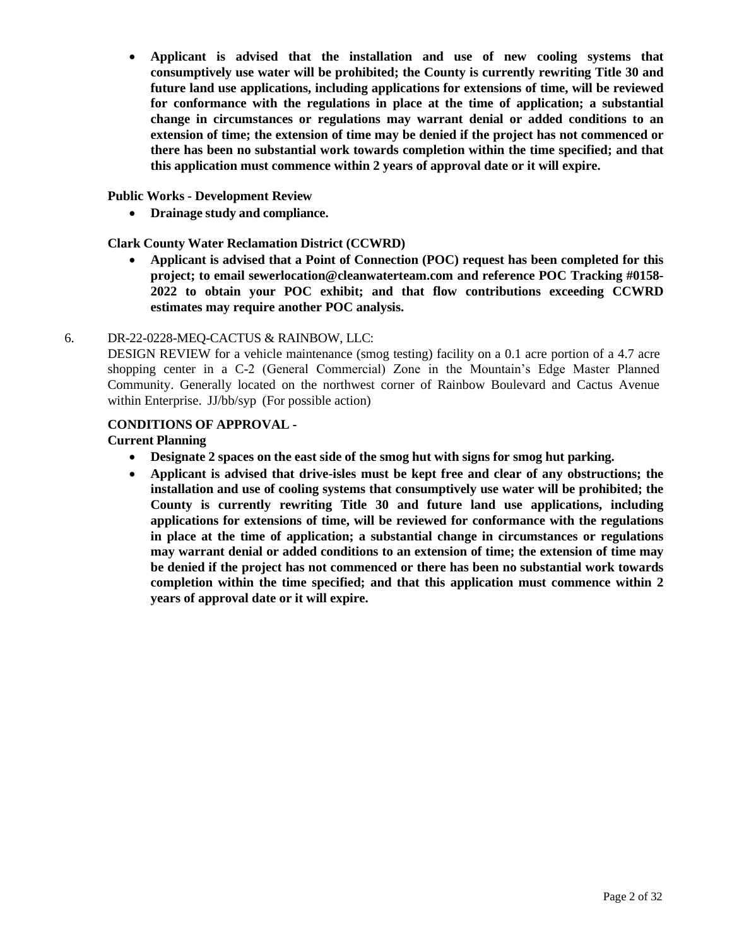• **Applicant is advised that the installation and use of new cooling systems that consumptively use water will be prohibited; the County is currently rewriting Title 30 and future land use applications, including applications for extensions of time, will be reviewed for conformance with the regulations in place at the time of application; a substantial change in circumstances or regulations may warrant denial or added conditions to an extension of time; the extension of time may be denied if the project has not commenced or there has been no substantial work towards completion within the time specified; and that this application must commence within 2 years of approval date or it will expire.**

#### **Public Works - Development Review**

• **Drainage study and compliance.**

## **Clark County Water Reclamation District (CCWRD)**

• **Applicant is advised that a Point of Connection (POC) request has been completed for this project; to email [sewerlocation@cleanwaterteam.com](mailto:sewerlocation@cleanwaterteam.com) and reference POC Tracking #0158- 2022 to obtain your POC exhibit; and that flow contributions exceeding CCWRD estimates may require another POC analysis.**

# 6. [DR-22-0228-MEQ-CACTUS &](http://clark.legistar.com/gateway.aspx?m=l&id=/matter.aspx%3Fkey%3D8876) RAINBOW, LLC:

DESIGN REVIEW for a vehicle [maintenance \(smog](http://clark.legistar.com/gateway.aspx?m=l&id=/matter.aspx%3Fkey%3D8876) testing) facility on a 0.1 acre portion of a 4.7 acre [shopping center in a C-2 \(General Commercial\) Zone in the Mountain's Edge Master Planned](http://clark.legistar.com/gateway.aspx?m=l&id=/matter.aspx%3Fkey%3D8876)  [Community. Generally located on the northwest corner of Rainbow Boulevard and Cactus Avenue](http://clark.legistar.com/gateway.aspx?m=l&id=/matter.aspx%3Fkey%3D8876)  within Enterprise. JJ/bb/syp [\(For possible action\)](http://clark.legistar.com/gateway.aspx?m=l&id=/matter.aspx%3Fkey%3D8876)

#### **CONDITIONS OF APPROVAL -**

- **Designate 2 spaces on the east side of the smog hut with signs for smog hut parking.**
- **Applicant is advised that drive-isles must be kept free and clear of any obstructions; the installation and use of cooling systems that consumptively use water will be prohibited; the County is currently rewriting Title 30 and future land use applications, including applications for extensions of time, will be reviewed for conformance with the regulations in place at the time of application; a substantial change in circumstances or regulations may warrant denial or added conditions to an extension of time; the extension of time may be denied if the project has not commenced or there has been no substantial work towards completion within the time specified; and that this application must commence within 2 years of approval date or it will expire.**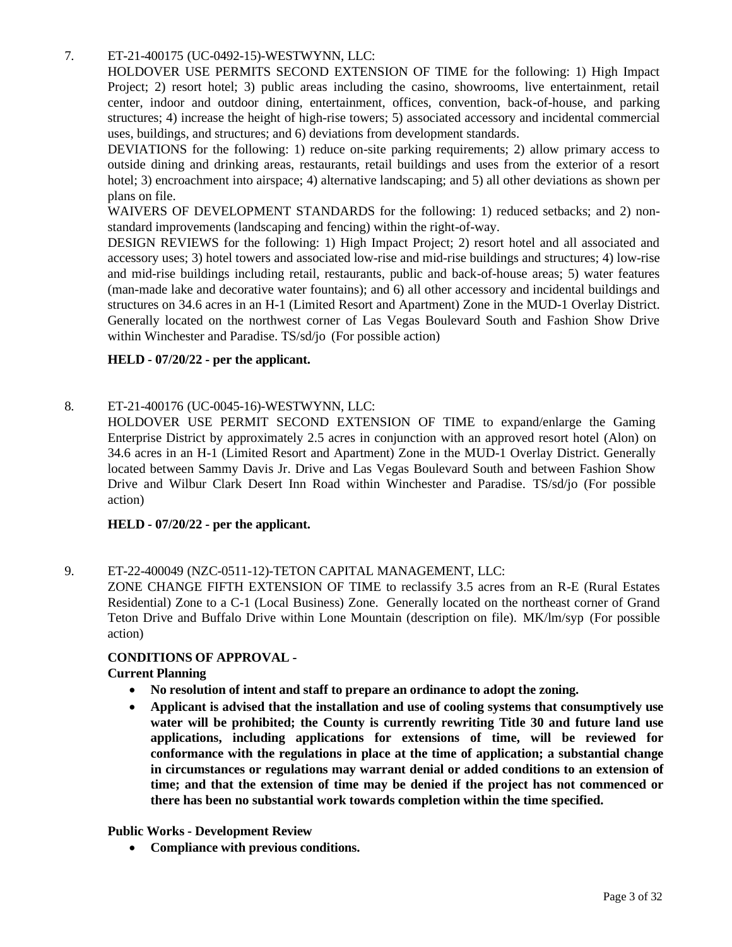#### 7. ET-21-400175 [\(UC-0492-15\)-WESTWYNN,](http://clark.legistar.com/gateway.aspx?m=l&id=/matter.aspx%3Fkey%3D8877) LLC:

[HOLDOVER USE PERMITS SECOND EXTENSION OF TIME for the following: 1\) High Impact](http://clark.legistar.com/gateway.aspx?m=l&id=/matter.aspx%3Fkey%3D8877)  [Project; 2\) resort hotel; 3\) public areas including the casino, showrooms, live entertainment, retail](http://clark.legistar.com/gateway.aspx?m=l&id=/matter.aspx%3Fkey%3D8877)  [center, indoor and outdoor dining, entertainment, offices, convention, back-of-house, and parking](http://clark.legistar.com/gateway.aspx?m=l&id=/matter.aspx%3Fkey%3D8877)  structures; 4) increase the height of high-rise towers; 5) associated accessory and incidental [commercial](http://clark.legistar.com/gateway.aspx?m=l&id=/matter.aspx%3Fkey%3D8877)  [uses, buildings, and structures; and 6\) deviations from development standards.](http://clark.legistar.com/gateway.aspx?m=l&id=/matter.aspx%3Fkey%3D8877)

[DEVIATIONS for the following: 1\) reduce on-site parking requirements; 2\) allow primary access to](http://clark.legistar.com/gateway.aspx?m=l&id=/matter.aspx%3Fkey%3D8877)  [outside dining and drinking areas, restaurants, retail buildings and uses from the exterior of a resort](http://clark.legistar.com/gateway.aspx?m=l&id=/matter.aspx%3Fkey%3D8877)  hotel; 3) [encroachment](http://clark.legistar.com/gateway.aspx?m=l&id=/matter.aspx%3Fkey%3D8877) into airspace; 4) alternative landscaping; and 5) all other deviations as shown per [plans on file.](http://clark.legistar.com/gateway.aspx?m=l&id=/matter.aspx%3Fkey%3D8877)

WAIVERS OF [DEVELOPMENT](http://clark.legistar.com/gateway.aspx?m=l&id=/matter.aspx%3Fkey%3D8877) STANDARDS for the following: 1) reduced setbacks; and 2) non[standard improvements \(landscaping and fencing\) within the right-of-way.](http://clark.legistar.com/gateway.aspx?m=l&id=/matter.aspx%3Fkey%3D8877)

[DESIGN REVIEWS for the following: 1\) High Impact Project; 2\) resort hotel and all associated and](http://clark.legistar.com/gateway.aspx?m=l&id=/matter.aspx%3Fkey%3D8877)  accessory uses; 3) hotel towers and associated low-rise and mid-rise buildings and [structures;](http://clark.legistar.com/gateway.aspx?m=l&id=/matter.aspx%3Fkey%3D8877) 4) low-rise [and mid-rise buildings including retail, restaurants, public and back-of-house areas; 5\) water features](http://clark.legistar.com/gateway.aspx?m=l&id=/matter.aspx%3Fkey%3D8877)  [\(man-made lake and decorative water fountains\); and 6\) all other accessory](http://clark.legistar.com/gateway.aspx?m=l&id=/matter.aspx%3Fkey%3D8877) and incidental buildings and structures on 34.6 acres in an H-1 (Limited Resort and [Apartment\) Zone in](http://clark.legistar.com/gateway.aspx?m=l&id=/matter.aspx%3Fkey%3D8877) the MUD-1 Overlay District. [Generally located on the northwest corner of Las Vegas Boulevard South and Fashion Show Drive](http://clark.legistar.com/gateway.aspx?m=l&id=/matter.aspx%3Fkey%3D8877)  [within Winchester and Paradise. TS/sd/jo](http://clark.legistar.com/gateway.aspx?m=l&id=/matter.aspx%3Fkey%3D8877) (For possible action)

#### **HELD - 07/20/22 - per the applicant.**

#### 8. ET-21-400176 [\(UC-0045-16\)-WESTWYNN,](http://clark.legistar.com/gateway.aspx?m=l&id=/matter.aspx%3Fkey%3D8878) LLC:

HOLDOVER [USE PERMIT SECOND EXTENSION OF TIME to expand/enlarge the Gaming](http://clark.legistar.com/gateway.aspx?m=l&id=/matter.aspx%3Fkey%3D8878)  Enterprise District by [approximately](http://clark.legistar.com/gateway.aspx?m=l&id=/matter.aspx%3Fkey%3D8878) 2.5 acres in conjunction with an approved resort hotel (Alon) on [34.6 acres in an H-1 \(Limited Resort and Apartment\) Zone in the MUD-1 Overlay District. Generally](http://clark.legistar.com/gateway.aspx?m=l&id=/matter.aspx%3Fkey%3D8878)  [located between Sammy Davis Jr. Drive and Las Vegas Boulevard South and between Fashion Show](http://clark.legistar.com/gateway.aspx?m=l&id=/matter.aspx%3Fkey%3D8878)  Drive and Wilbur Clark Desert Inn Road within [Winchester](http://clark.legistar.com/gateway.aspx?m=l&id=/matter.aspx%3Fkey%3D8878) and Paradise. TS/sd/jo (For possible [action\)](http://clark.legistar.com/gateway.aspx?m=l&id=/matter.aspx%3Fkey%3D8878)

#### **HELD - 07/20/22 - per the applicant.**

# 9. ET-22-400049 [\(NZC-0511-12\)-TETON](http://clark.legistar.com/gateway.aspx?m=l&id=/matter.aspx%3Fkey%3D8879) CAPITAL MANAGEMENT, LLC:

[ZONE CHANGE FIFTH EXTENSION OF TIME to reclassify 3.5 acres from an R-E \(Rural Estates](http://clark.legistar.com/gateway.aspx?m=l&id=/matter.aspx%3Fkey%3D8879)  [Residential\)](http://clark.legistar.com/gateway.aspx?m=l&id=/matter.aspx%3Fkey%3D8879) Zone to a C-1 (Local Business) Zone. Generally located on the northeast corner of Grand [Teton Drive and Buffalo Drive within Lone Mountain \(description on file\).](http://clark.legistar.com/gateway.aspx?m=l&id=/matter.aspx%3Fkey%3D8879) MK/lm/syp (For possible [action\)](http://clark.legistar.com/gateway.aspx?m=l&id=/matter.aspx%3Fkey%3D8879)

#### **CONDITIONS OF APPROVAL -**

#### **Current Planning**

- **No resolution of intent and staff to prepare an ordinance to adopt the zoning.**
- **Applicant is advised that the installation and use of cooling systems that consumptively use water will be prohibited; the County is currently rewriting Title 30 and future land use applications, including applications for extensions of time, will be reviewed for conformance with the regulations in place at the time of application; a substantial change in circumstances or regulations may warrant denial or added conditions to an extension of time; and that the extension of time may be denied if the project has not commenced or there has been no substantial work towards completion within the time specified.**

#### **Public Works - Development Review**

• **Compliance with previous conditions.**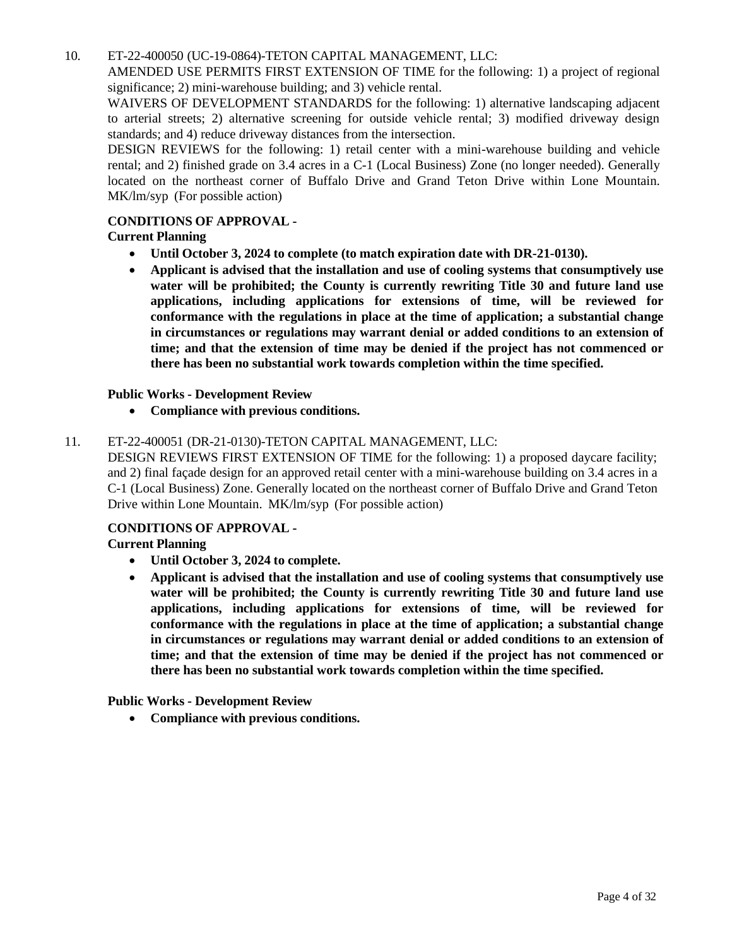10. ET-22-400050 [\(UC-19-0864\)-TETON](http://clark.legistar.com/gateway.aspx?m=l&id=/matter.aspx%3Fkey%3D8880) CAPITAL MANAGEMENT, LLC:

AMENDED USE PERMITS FIRST [EXTENSION](http://clark.legistar.com/gateway.aspx?m=l&id=/matter.aspx%3Fkey%3D8880) OF TIME for the following: 1) a project of regional [significance; 2\) mini-warehouse building; and 3\) vehicle rental.](http://clark.legistar.com/gateway.aspx?m=l&id=/matter.aspx%3Fkey%3D8880)

WAIVERS OF [DEVELOPMENT](http://clark.legistar.com/gateway.aspx?m=l&id=/matter.aspx%3Fkey%3D8880) STANDARDS for the following: 1) alternative landscaping adjacent [to arterial streets; 2\) alternative screening for outside vehicle rental; 3\) modified driveway design](http://clark.legistar.com/gateway.aspx?m=l&id=/matter.aspx%3Fkey%3D8880)  [standards; and 4\) reduce driveway distances from the intersection.](http://clark.legistar.com/gateway.aspx?m=l&id=/matter.aspx%3Fkey%3D8880)

[DESIGN REVIEWS for the following: 1\) retail center with a mini-warehouse building and vehicle](http://clark.legistar.com/gateway.aspx?m=l&id=/matter.aspx%3Fkey%3D8880)  rental; and 2) finished grade on 3.4 acres in a C-1 [\(Local Business\)](http://clark.legistar.com/gateway.aspx?m=l&id=/matter.aspx%3Fkey%3D8880) Zone (no longer needed). Generally [located on the northeast corner of Buffalo Drive and Grand Teton Drive within Lone Mountain.](http://clark.legistar.com/gateway.aspx?m=l&id=/matter.aspx%3Fkey%3D8880) [MK/lm/syp](http://clark.legistar.com/gateway.aspx?m=l&id=/matter.aspx%3Fkey%3D8880) (For possible action)

# **CONDITIONS OF APPROVAL -**

# **Current Planning**

- **Until October 3, 2024 to complete (to match expiration date with DR-21-0130).**
- **Applicant is advised that the installation and use of cooling systems that consumptively use water will be prohibited; the County is currently rewriting Title 30 and future land use applications, including applications for extensions of time, will be reviewed for conformance with the regulations in place at the time of application; a substantial change in circumstances or regulations may warrant denial or added conditions to an extension of time; and that the extension of time may be denied if the project has not commenced or there has been no substantial work towards completion within the time specified.**

# **Public Works - Development Review**

• **Compliance with previous conditions.**

# 11. ET-22-400051 [\(DR-21-0130\)-TETON](http://clark.legistar.com/gateway.aspx?m=l&id=/matter.aspx%3Fkey%3D8881) CAPITAL MANAGEMENT, LLC:

[DESIGN REVIEWS FIRST EXTENSION OF TIME for the following: 1\) a proposed daycare facility;](http://clark.legistar.com/gateway.aspx?m=l&id=/matter.aspx%3Fkey%3D8881)  and 2) final façade design for an approved retail center with a [mini-warehouse](http://clark.legistar.com/gateway.aspx?m=l&id=/matter.aspx%3Fkey%3D8881) building on 3.4 acres in a C-1 (Local Business) Zone. [Generally](http://clark.legistar.com/gateway.aspx?m=l&id=/matter.aspx%3Fkey%3D8881) located on the northeast corner of Buffalo Drive and Grand Teton [Drive within Lone Mountain.](http://clark.legistar.com/gateway.aspx?m=l&id=/matter.aspx%3Fkey%3D8881) MK/lm/syp (For possible action)

#### **CONDITIONS OF APPROVAL -**

# **Current Planning**

- **Until October 3, 2024 to complete.**
- **Applicant is advised that the installation and use of cooling systems that consumptively use water will be prohibited; the County is currently rewriting Title 30 and future land use applications, including applications for extensions of time, will be reviewed for conformance with the regulations in place at the time of application; a substantial change in circumstances or regulations may warrant denial or added conditions to an extension of time; and that the extension of time may be denied if the project has not commenced or there has been no substantial work towards completion within the time specified.**

**Public Works - Development Review**

• **Compliance with previous conditions.**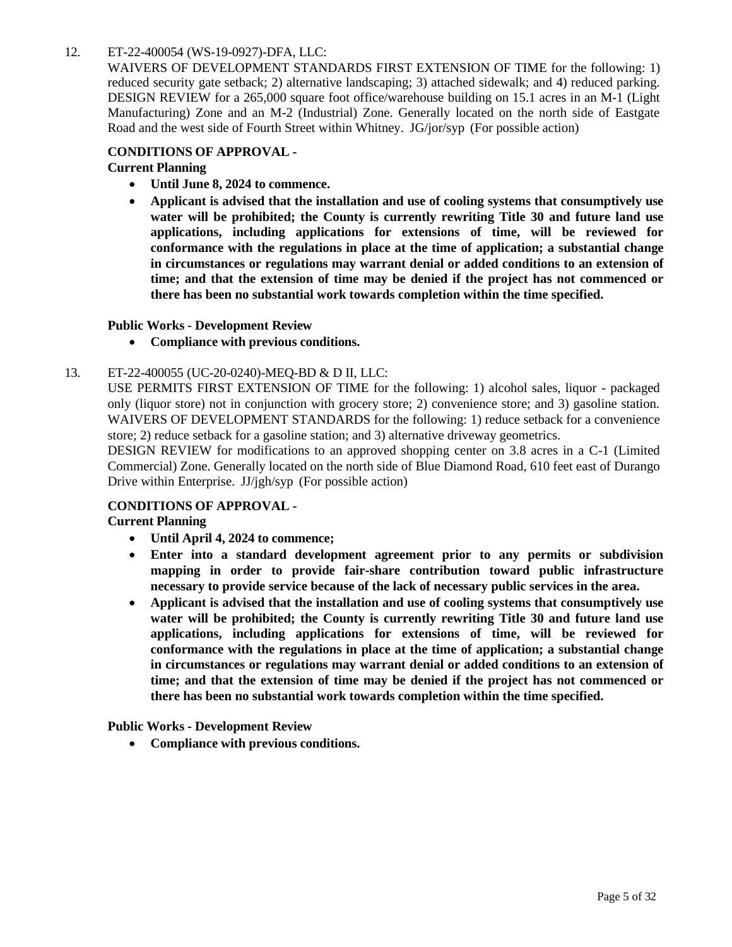## 12. ET-22-400054 [\(WS-19-0927\)-DFA,](http://clark.legistar.com/gateway.aspx?m=l&id=/matter.aspx%3Fkey%3D8882) LLC:

WAIVERS OF [DEVELOPMENT](http://clark.legistar.com/gateway.aspx?m=l&id=/matter.aspx%3Fkey%3D8882) STANDARDS FIRST EXTENSION OF TIME for the following: 1) reduced security gate setback; 2) alternative [landscaping;](http://clark.legistar.com/gateway.aspx?m=l&id=/matter.aspx%3Fkey%3D8882) 3) attached sidewalk; and 4) reduced parking. DESIGN REVIEW for a 265,000 square [foot office/warehouse](http://clark.legistar.com/gateway.aspx?m=l&id=/matter.aspx%3Fkey%3D8882) building on 15.1 acres in an M-1 (Light [Manufacturing\) Zone and an M-2 \(Industrial\) Zone. Generally located on the north side of Eastgate](http://clark.legistar.com/gateway.aspx?m=l&id=/matter.aspx%3Fkey%3D8882)  [Road and the west side of Fourth Street within Whitney.](http://clark.legistar.com/gateway.aspx?m=l&id=/matter.aspx%3Fkey%3D8882) JG/jor/syp (For possible action)

#### **CONDITIONS OF APPROVAL -**

**Current Planning**

- **Until June 8, 2024 to commence.**
- **Applicant is advised that the installation and use of cooling systems that consumptively use water will be prohibited; the County is currently rewriting Title 30 and future land use applications, including applications for extensions of time, will be reviewed for conformance with the regulations in place at the time of application; a substantial change in circumstances or regulations may warrant denial or added conditions to an extension of time; and that the extension of time may be denied if the project has not commenced or there has been no substantial work towards completion within the time specified.**

#### **Public Works - Development Review**

• **Compliance with previous conditions.**

# 13. ET-22-400055 [\(UC-20-0240\)-MEQ-BD](http://clark.legistar.com/gateway.aspx?m=l&id=/matter.aspx%3Fkey%3D8883) & D II, LLC:

[USE PERMITS FIRST EXTENSION OF TIME for the following: 1\) alcohol sales, liquor -](http://clark.legistar.com/gateway.aspx?m=l&id=/matter.aspx%3Fkey%3D8883) packaged [only \(liquor store\) not in conjunction with grocery store; 2\) convenience store; and 3\) gasoline station.](http://clark.legistar.com/gateway.aspx?m=l&id=/matter.aspx%3Fkey%3D8883)  WAIVERS OF [DEVELOPMENT](http://clark.legistar.com/gateway.aspx?m=l&id=/matter.aspx%3Fkey%3D8883) STANDARDS for the following: 1) reduce setback for a convenience [store; 2\) reduce setback for a gasoline station; and 3\) alternative driveway geometrics.](http://clark.legistar.com/gateway.aspx?m=l&id=/matter.aspx%3Fkey%3D8883)

[DESIGN REVIEW for modifications to an approved shopping center on 3.8 acres in a C-1 \(Limited](http://clark.legistar.com/gateway.aspx?m=l&id=/matter.aspx%3Fkey%3D8883)  [Commercial\)](http://clark.legistar.com/gateway.aspx?m=l&id=/matter.aspx%3Fkey%3D8883) Zone. Generally located on the north side of Blue Diamond Road, 610 feet east of Durango [Drive within Enterprise.](http://clark.legistar.com/gateway.aspx?m=l&id=/matter.aspx%3Fkey%3D8883) JJ/jgh/syp (For possible action)

#### **CONDITIONS OF APPROVAL -**

#### **Current Planning**

- **Until April 4, 2024 to commence;**
- **Enter into a standard development agreement prior to any permits or subdivision mapping in order to provide fair-share contribution toward public infrastructure necessary to provide service because of the lack of necessary public services in the area.**
- **Applicant is advised that the installation and use of cooling systems that consumptively use water will be prohibited; the County is currently rewriting Title 30 and future land use applications, including applications for extensions of time, will be reviewed for conformance with the regulations in place at the time of application; a substantial change in circumstances or regulations may warrant denial or added conditions to an extension of time; and that the extension of time may be denied if the project has not commenced or there has been no substantial work towards completion within the time specified.**

**Public Works - Development Review**

• **Compliance with previous conditions.**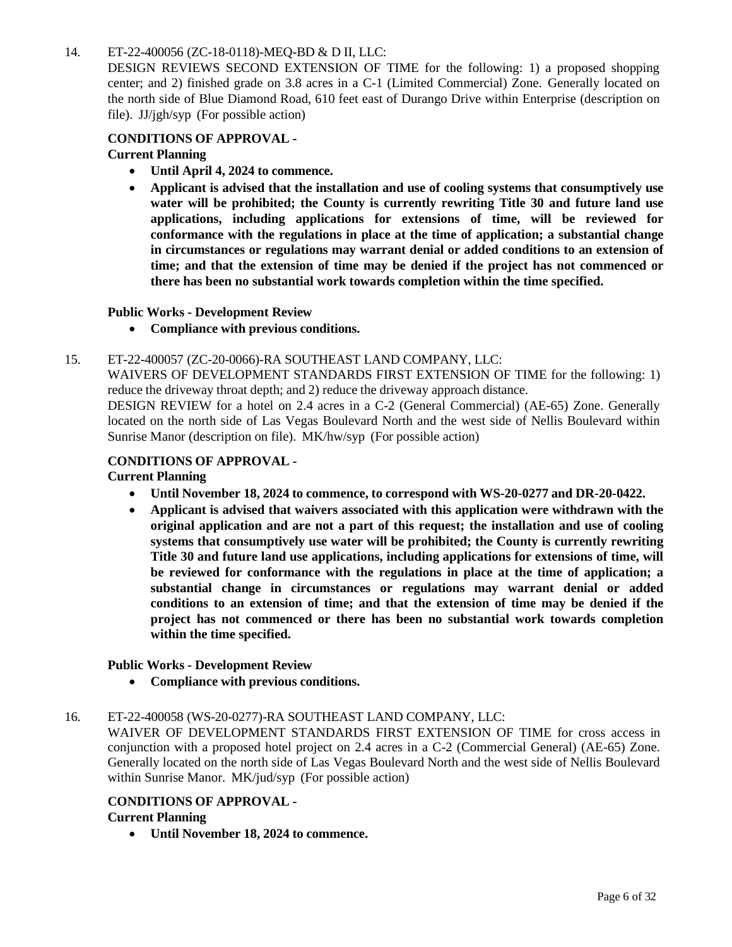# 14. ET-22-400056 [\(ZC-18-0118\)-MEQ-BD &](http://clark.legistar.com/gateway.aspx?m=l&id=/matter.aspx%3Fkey%3D8884) D II, LLC:

[DESIGN REVIEWS SECOND EXTENSION OF TIME for the following: 1\) a proposed shopping](http://clark.legistar.com/gateway.aspx?m=l&id=/matter.aspx%3Fkey%3D8884)  [center; and 2\) finished grade on 3.8 acres in a C-1 \(Limited Commercial\) Zone.](http://clark.legistar.com/gateway.aspx?m=l&id=/matter.aspx%3Fkey%3D8884) Generally located on the north side of Blue Diamond Road, 610 feet east of Durango Drive within [Enterprise \(description](http://clark.legistar.com/gateway.aspx?m=l&id=/matter.aspx%3Fkey%3D8884) on file). JJ/jgh/syp [\(For possible action\)](http://clark.legistar.com/gateway.aspx?m=l&id=/matter.aspx%3Fkey%3D8884)

# **CONDITIONS OF APPROVAL -**

# **Current Planning**

- **Until April 4, 2024 to commence.**
- **Applicant is advised that the installation and use of cooling systems that consumptively use water will be prohibited; the County is currently rewriting Title 30 and future land use applications, including applications for extensions of time, will be reviewed for conformance with the regulations in place at the time of application; a substantial change in circumstances or regulations may warrant denial or added conditions to an extension of time; and that the extension of time may be denied if the project has not commenced or there has been no substantial work towards completion within the time specified.**

#### **Public Works - Development Review**

• **Compliance with previous conditions.**

#### 15. ET-22-400057 [\(ZC-20-0066\)-RA](http://clark.legistar.com/gateway.aspx?m=l&id=/matter.aspx%3Fkey%3D8885) SOUTHEAST LAND COMPANY, LLC:

WAIVERS OF [DEVELOPMENT](http://clark.legistar.com/gateway.aspx?m=l&id=/matter.aspx%3Fkey%3D8885) STANDARDS FIRST EXTENSION OF TIME for the following: 1) reduce the driveway throat depth; and 2) reduce the [driveway](http://clark.legistar.com/gateway.aspx?m=l&id=/matter.aspx%3Fkey%3D8885) approach distance.

DESIGN REVIEW for a hotel on 2.4 acres in a C-2 [\(General Commercial\) \(AE-65\) Zone.](http://clark.legistar.com/gateway.aspx?m=l&id=/matter.aspx%3Fkey%3D8885) Generally located on the north side of Las Vegas Boulevard North and the west side of Nellis [Boulevard](http://clark.legistar.com/gateway.aspx?m=l&id=/matter.aspx%3Fkey%3D8885) within [Sunrise Manor \(description on file\).](http://clark.legistar.com/gateway.aspx?m=l&id=/matter.aspx%3Fkey%3D8885) MK/hw/syp (For possible action)

#### **CONDITIONS OF APPROVAL -**

#### **Current Planning**

- **Until November 18, 2024 to commence, to correspond with WS-20-0277 and DR-20-0422.**
- **Applicant is advised that waivers associated with this application were withdrawn with the original application and are not a part of this request; the installation and use of cooling systems that consumptively use water will be prohibited; the County is currently rewriting Title 30 and future land use applications, including applications for extensions of time, will be reviewed for conformance with the regulations in place at the time of application; a substantial change in circumstances or regulations may warrant denial or added conditions to an extension of time; and that the extension of time may be denied if the project has not commenced or there has been no substantial work towards completion within the time specified.**

#### **Public Works - Development Review**

• **Compliance with previous conditions.**

## 16. ET-22-400058 [\(WS-20-0277\)-RA](http://clark.legistar.com/gateway.aspx?m=l&id=/matter.aspx%3Fkey%3D8886) SOUTHEAST LAND COMPANY, LLC:

WAIVER OF [DEVELOPMENT](http://clark.legistar.com/gateway.aspx?m=l&id=/matter.aspx%3Fkey%3D8886) STANDARDS FIRST EXTENSION OF TIME for cross access in [conjunction with a proposed hotel project on 2.4 acres in a C-2 \(Commercial General\) \(AE-65\) Zone.](http://clark.legistar.com/gateway.aspx?m=l&id=/matter.aspx%3Fkey%3D8886)  Generally located on the north side of Las Vegas Boulevard North and the west side of Nellis [Boulevard](http://clark.legistar.com/gateway.aspx?m=l&id=/matter.aspx%3Fkey%3D8886)  [within Sunrise Manor.](http://clark.legistar.com/gateway.aspx?m=l&id=/matter.aspx%3Fkey%3D8886) MK/jud/syp (For possible action)

# **CONDITIONS OF APPROVAL -**

# **Current Planning**

• **Until November 18, 2024 to commence.**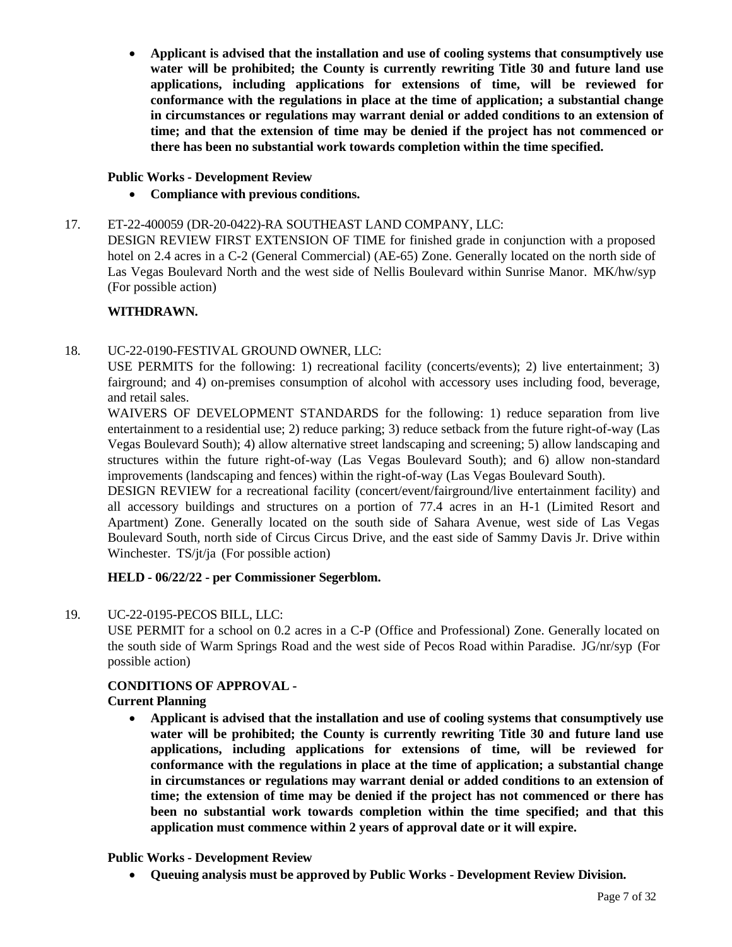• **Applicant is advised that the installation and use of cooling systems that consumptively use water will be prohibited; the County is currently rewriting Title 30 and future land use applications, including applications for extensions of time, will be reviewed for conformance with the regulations in place at the time of application; a substantial change in circumstances or regulations may warrant denial or added conditions to an extension of time; and that the extension of time may be denied if the project has not commenced or there has been no substantial work towards completion within the time specified.**

# **Public Works - Development Review**

• **Compliance with previous conditions.**

# 17. ET-22-400059 [\(DR-20-0422\)-RA](http://clark.legistar.com/gateway.aspx?m=l&id=/matter.aspx%3Fkey%3D8887) SOUTHEAST LAND COMPANY, LLC:

[DESIGN REVIEW FIRST EXTENSION OF TIME for finished grade in conjunction with a proposed](http://clark.legistar.com/gateway.aspx?m=l&id=/matter.aspx%3Fkey%3D8887)  hotel on 2.4 acres in a C-2 (General [Commercial\)](http://clark.legistar.com/gateway.aspx?m=l&id=/matter.aspx%3Fkey%3D8887) (AE-65) Zone. Generally located on the north side of [Las Vegas Boulevard North and the west side of Nellis Boulevard within Sunrise Manor.](http://clark.legistar.com/gateway.aspx?m=l&id=/matter.aspx%3Fkey%3D8887) MK/hw/syp [\(For possible action\)](http://clark.legistar.com/gateway.aspx?m=l&id=/matter.aspx%3Fkey%3D8887)

# **WITHDRAWN.**

# 18. [UC-22-0190-FESTIVAL GROUND](http://clark.legistar.com/gateway.aspx?m=l&id=/matter.aspx%3Fkey%3D8888) OWNER, LLC:

[USE PERMITS for the following: 1\) recreational facility \(concerts/events\); 2\) live entertainment; 3\)](http://clark.legistar.com/gateway.aspx?m=l&id=/matter.aspx%3Fkey%3D8888)  fairground; and 4) on-premises [consumption](http://clark.legistar.com/gateway.aspx?m=l&id=/matter.aspx%3Fkey%3D8888) of alcohol with accessory uses including food, beverage, [and retail sales.](http://clark.legistar.com/gateway.aspx?m=l&id=/matter.aspx%3Fkey%3D8888)

[WAIVERS OF DEVELOPMENT STANDARDS for the following: 1\) reduce separation from live](http://clark.legistar.com/gateway.aspx?m=l&id=/matter.aspx%3Fkey%3D8888)  entertainment to a residential use; 2) reduce parking; 3) reduce setback from the future [right-of-way \(Las](http://clark.legistar.com/gateway.aspx?m=l&id=/matter.aspx%3Fkey%3D8888)  Vegas Boulevard South); 4) allow alternative [street landscaping](http://clark.legistar.com/gateway.aspx?m=l&id=/matter.aspx%3Fkey%3D8888) and screening; 5) allow landscaping and [structures within the future right-of-way \(Las Vegas Boulevard South\); and 6\) allow non-standard](http://clark.legistar.com/gateway.aspx?m=l&id=/matter.aspx%3Fkey%3D8888)  [improvements \(landscaping and fences\) within the right-of-way \(Las Vegas Boulevard South\).](http://clark.legistar.com/gateway.aspx?m=l&id=/matter.aspx%3Fkey%3D8888)

DESIGN REVIEW for a recreational facility [\(concert/event/fairground/live](http://clark.legistar.com/gateway.aspx?m=l&id=/matter.aspx%3Fkey%3D8888) entertainment facility) and [all accessory buildings and structures on a portion of 77.4 acres in an H-1 \(Limited Resort and](http://clark.legistar.com/gateway.aspx?m=l&id=/matter.aspx%3Fkey%3D8888)  [Apartment\) Zone. Generally located on the south side of Sahara Avenue, west side of Las Vegas](http://clark.legistar.com/gateway.aspx?m=l&id=/matter.aspx%3Fkey%3D8888)  [Boulevard](http://clark.legistar.com/gateway.aspx?m=l&id=/matter.aspx%3Fkey%3D8888) South, north side of Circus Circus Drive, and the east side of Sammy Davis Jr. Drive within Winchester. TS/jt/ja [\(For possible action\)](http://clark.legistar.com/gateway.aspx?m=l&id=/matter.aspx%3Fkey%3D8888)

# **HELD - 06/22/22 - per Commissioner Segerblom.**

#### 19. [UC-22-0195-PECOS](http://clark.legistar.com/gateway.aspx?m=l&id=/matter.aspx%3Fkey%3D8889) BILL, LLC:

[USE PERMIT for a school on 0.2 acres in a C-P \(Office and Professional\) Zone. Generally located on](http://clark.legistar.com/gateway.aspx?m=l&id=/matter.aspx%3Fkey%3D8889)  the south side of Warm Springs Road and the west side of Pecos Road within Paradise. [JG/nr/syp](http://clark.legistar.com/gateway.aspx?m=l&id=/matter.aspx%3Fkey%3D8889) (For [possible action\)](http://clark.legistar.com/gateway.aspx?m=l&id=/matter.aspx%3Fkey%3D8889)

# **CONDITIONS OF APPROVAL -**

#### **Current Planning**

• **Applicant is advised that the installation and use of cooling systems that consumptively use water will be prohibited; the County is currently rewriting Title 30 and future land use applications, including applications for extensions of time, will be reviewed for conformance with the regulations in place at the time of application; a substantial change in circumstances or regulations may warrant denial or added conditions to an extension of time; the extension of time may be denied if the project has not commenced or there has been no substantial work towards completion within the time specified; and that this application must commence within 2 years of approval date or it will expire.**

#### **Public Works - Development Review**

• **Queuing analysis must be approved by Public Works - Development Review Division.**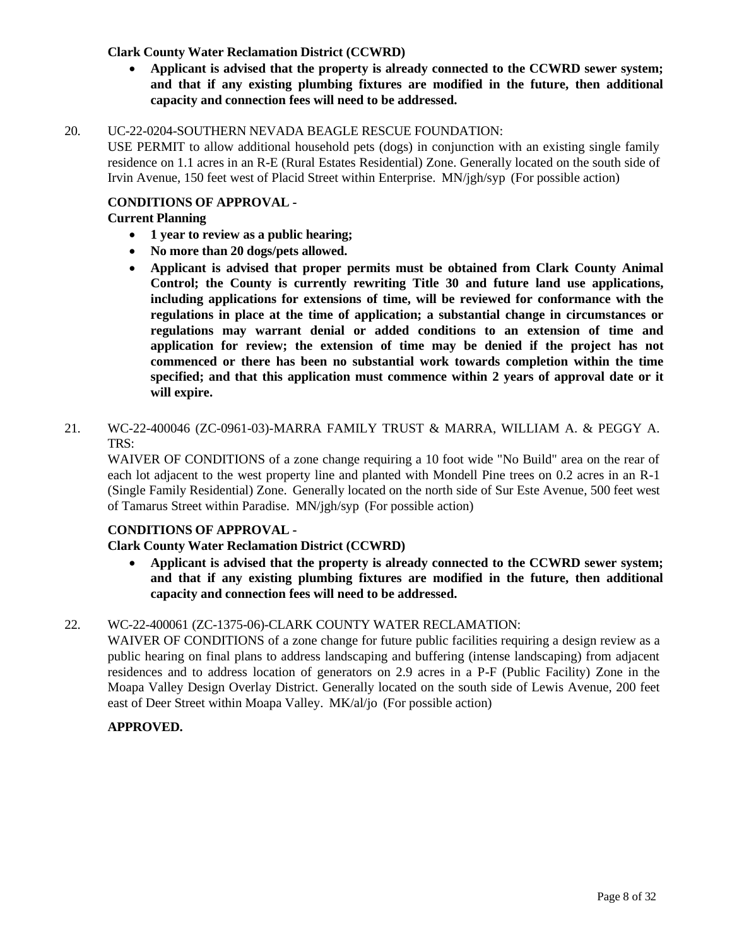# **Clark County Water Reclamation District (CCWRD)**

• **Applicant is advised that the property is already connected to the CCWRD sewer system; and that if any existing plumbing fixtures are modified in the future, then additional capacity and connection fees will need to be addressed.**

#### 20. [UC-22-0204-SOUTHERN](http://clark.legistar.com/gateway.aspx?m=l&id=/matter.aspx%3Fkey%3D8890) NEVADA BEAGLE RESCUE FOUNDATION:

[USE PERMIT to allow additional household pets \(dogs\) in conjunction with an existing single family](http://clark.legistar.com/gateway.aspx?m=l&id=/matter.aspx%3Fkey%3D8890)  residence on 1.1 acres in an R-E [\(Rural Estates](http://clark.legistar.com/gateway.aspx?m=l&id=/matter.aspx%3Fkey%3D8890) Residential) Zone. Generally located on the south side of [Irvin Avenue, 150 feet west of Placid Street within Enterprise.](http://clark.legistar.com/gateway.aspx?m=l&id=/matter.aspx%3Fkey%3D8890) MN/jgh/syp (For possible action)

#### **CONDITIONS OF APPROVAL -**

#### **Current Planning**

- **1 year to review as a public hearing;**
- **No more than 20 dogs/pets allowed.**
- **Applicant is advised that proper permits must be obtained from Clark County Animal Control; the County is currently rewriting Title 30 and future land use applications, including applications for extensions of time, will be reviewed for conformance with the regulations in place at the time of application; a substantial change in circumstances or regulations may warrant denial or added conditions to an extension of time and application for review; the extension of time may be denied if the project has not commenced or there has been no substantial work towards completion within the time specified; and that this application must commence within 2 years of approval date or it will expire.**
- 21. WC-22-400046 [\(ZC-0961-03\)-MARRA](http://clark.legistar.com/gateway.aspx?m=l&id=/matter.aspx%3Fkey%3D8891) FAMILY TRUST & MARRA, WILLIAM A. & PEGGY A. [TRS:](http://clark.legistar.com/gateway.aspx?m=l&id=/matter.aspx%3Fkey%3D8891)

[WAIVER OF CONDITIONS of a zone change requiring a 10 foot wide "No Build" area on the rear of](http://clark.legistar.com/gateway.aspx?m=l&id=/matter.aspx%3Fkey%3D8891)  [each lot adjacent to the west property line and planted with Mondell Pine trees on 0.2 acres in an R-1](http://clark.legistar.com/gateway.aspx?m=l&id=/matter.aspx%3Fkey%3D8891)  (Single Family [Residential\)](http://clark.legistar.com/gateway.aspx?m=l&id=/matter.aspx%3Fkey%3D8891) Zone. Generally located on the north side of Sur Este Avenue, 500 feet west [of Tamarus Street within Paradise.](http://clark.legistar.com/gateway.aspx?m=l&id=/matter.aspx%3Fkey%3D8891) MN/jgh/syp (For possible action)

#### **CONDITIONS OF APPROVAL -**

#### **Clark County Water Reclamation District (CCWRD)**

• **Applicant is advised that the property is already connected to the CCWRD sewer system; and that if any existing plumbing fixtures are modified in the future, then additional capacity and connection fees will need to be addressed.**

#### 22. WC-22-400061 [\(ZC-1375-06\)-CLARK](http://clark.legistar.com/gateway.aspx?m=l&id=/matter.aspx%3Fkey%3D8892) COUNTY WATER RECLAMATION:

WAIVER OF [CONDITIONS](http://clark.legistar.com/gateway.aspx?m=l&id=/matter.aspx%3Fkey%3D8892) of a zone change for future public facilities requiring a design review as a [public hearing on final plans to address landscaping and buffering \(intense landscaping\) from adjacent](http://clark.legistar.com/gateway.aspx?m=l&id=/matter.aspx%3Fkey%3D8892)  [residences and to address location of generators on 2.9 acres in a P-F \(Public Facility\) Zone in the](http://clark.legistar.com/gateway.aspx?m=l&id=/matter.aspx%3Fkey%3D8892)  [Moapa Valley Design Overlay District. Generally located on the south side of Lewis Avenue, 200 feet](http://clark.legistar.com/gateway.aspx?m=l&id=/matter.aspx%3Fkey%3D8892)  [east of Deer Street within Moapa Valley.](http://clark.legistar.com/gateway.aspx?m=l&id=/matter.aspx%3Fkey%3D8892) MK/al/jo (For possible action)

#### **APPROVED.**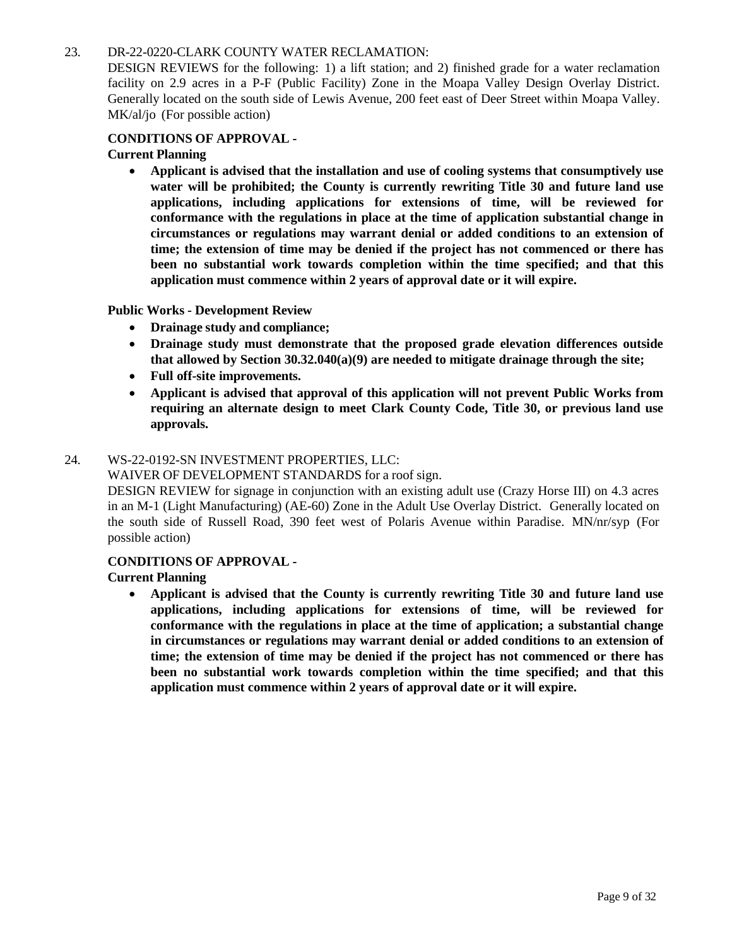#### 23. [DR-22-0220-CLARK](http://clark.legistar.com/gateway.aspx?m=l&id=/matter.aspx%3Fkey%3D8893) COUNTY WATER RECLAMATION:

DESIGN REVIEWS for the following: 1) a lift station; and 2) finished grade for a water [reclamation](http://clark.legistar.com/gateway.aspx?m=l&id=/matter.aspx%3Fkey%3D8893)  [facility on 2.9 acres in a P-F \(Public Facility\) Zone in the Moapa Valley Design Overlay District.](http://clark.legistar.com/gateway.aspx?m=l&id=/matter.aspx%3Fkey%3D8893) Generally located on the south side of Lewis Avenue, 200 feet east of Deer [Street within](http://clark.legistar.com/gateway.aspx?m=l&id=/matter.aspx%3Fkey%3D8893) Moapa Valley. MK/al/jo [\(For possible action\)](http://clark.legistar.com/gateway.aspx?m=l&id=/matter.aspx%3Fkey%3D8893)

# **CONDITIONS OF APPROVAL -**

# **Current Planning**

• **Applicant is advised that the installation and use of cooling systems that consumptively use water will be prohibited; the County is currently rewriting Title 30 and future land use applications, including applications for extensions of time, will be reviewed for conformance with the regulations in place at the time of application substantial change in circumstances or regulations may warrant denial or added conditions to an extension of time; the extension of time may be denied if the project has not commenced or there has been no substantial work towards completion within the time specified; and that this application must commence within 2 years of approval date or it will expire.**

#### **Public Works - Development Review**

- **Drainage study and compliance;**
- **Drainage study must demonstrate that the proposed grade elevation differences outside that allowed by Section 30.32.040(a)(9) are needed to mitigate drainage through the site;**
- **Full off-site improvements.**
- **Applicant is advised that approval of this application will not prevent Public Works from requiring an alternate design to meet Clark County Code, Title 30, or previous land use approvals.**

#### 24. [WS-22-0192-SN INVESTMENT PROPERTIES, LLC:](http://clark.legistar.com/gateway.aspx?m=l&id=/matter.aspx%3Fkey%3D8894)

#### WAIVER OF [DEVELOPMENT](http://clark.legistar.com/gateway.aspx?m=l&id=/matter.aspx%3Fkey%3D8894) STANDARDS for a roof sign.

[DESIGN REVIEW for signage in conjunction with an existing adult use \(Crazy Horse III\) on 4.3 acres](http://clark.legistar.com/gateway.aspx?m=l&id=/matter.aspx%3Fkey%3D8894)  in an M-1 (Light [Manufacturing\)](http://clark.legistar.com/gateway.aspx?m=l&id=/matter.aspx%3Fkey%3D8894) (AE-60) Zone in the Adult Use Overlay District. Generally located on [the south side of Russell Road, 390 feet west of Polaris Avenue within Paradise.](http://clark.legistar.com/gateway.aspx?m=l&id=/matter.aspx%3Fkey%3D8894) MN/nr/syp (For [possible action\)](http://clark.legistar.com/gateway.aspx?m=l&id=/matter.aspx%3Fkey%3D8894)

#### **CONDITIONS OF APPROVAL -**

#### **Current Planning**

• **Applicant is advised that the County is currently rewriting Title 30 and future land use applications, including applications for extensions of time, will be reviewed for conformance with the regulations in place at the time of application; a substantial change in circumstances or regulations may warrant denial or added conditions to an extension of time; the extension of time may be denied if the project has not commenced or there has been no substantial work towards completion within the time specified; and that this application must commence within 2 years of approval date or it will expire.**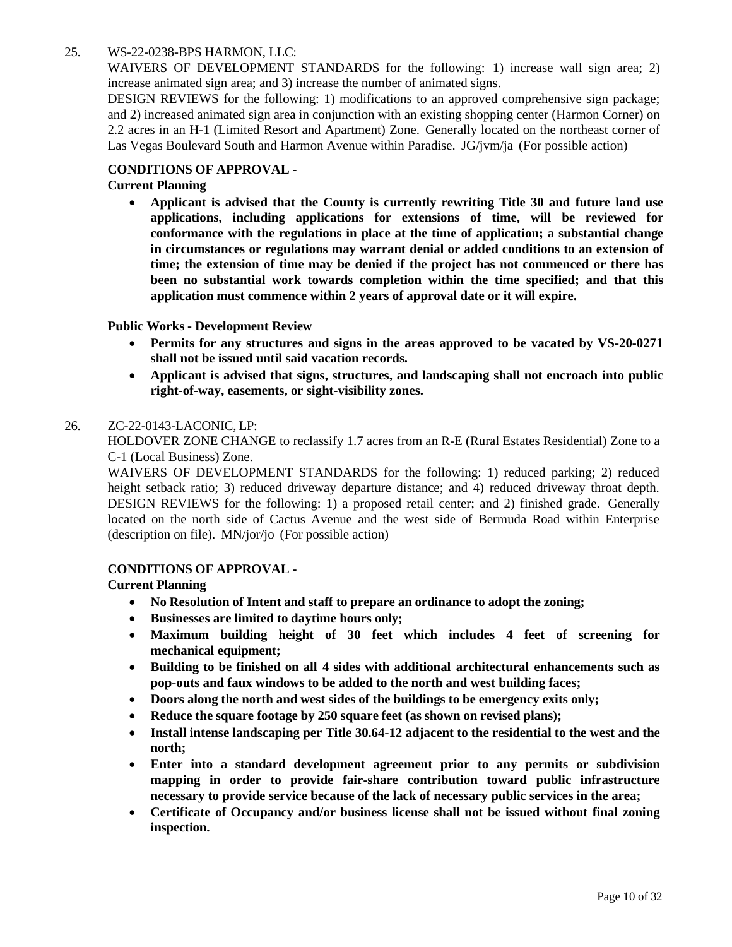# 25. [WS-22-0238-BPS HARMON,](http://clark.legistar.com/gateway.aspx?m=l&id=/matter.aspx%3Fkey%3D8895) LLC:

WAIVERS OF [DEVELOPMENT](http://clark.legistar.com/gateway.aspx?m=l&id=/matter.aspx%3Fkey%3D8895) STANDARDS for the following: 1) increase wall sign area; 2) [increase animated sign area; and 3\) increase the number of animated signs.](http://clark.legistar.com/gateway.aspx?m=l&id=/matter.aspx%3Fkey%3D8895)

[DESIGN REVIEWS for the following: 1\) modifications to an approved comprehensive sign package;](http://clark.legistar.com/gateway.aspx?m=l&id=/matter.aspx%3Fkey%3D8895)  and 2) increased animated sign area in conjunction with an existing shopping [center \(Harmon](http://clark.legistar.com/gateway.aspx?m=l&id=/matter.aspx%3Fkey%3D8895) Corner) on 2.2 acres in an H-1 (Limited Resort and [Apartment\)](http://clark.legistar.com/gateway.aspx?m=l&id=/matter.aspx%3Fkey%3D8895) Zone. Generally located on the northeast corner of [Las Vegas Boulevard South and Harmon Avenue within Paradise.](http://clark.legistar.com/gateway.aspx?m=l&id=/matter.aspx%3Fkey%3D8895) JG/jvm/ja (For possible action)

#### **CONDITIONS OF APPROVAL -**

#### **Current Planning**

• **Applicant is advised that the County is currently rewriting Title 30 and future land use applications, including applications for extensions of time, will be reviewed for conformance with the regulations in place at the time of application; a substantial change in circumstances or regulations may warrant denial or added conditions to an extension of time; the extension of time may be denied if the project has not commenced or there has been no substantial work towards completion within the time specified; and that this application must commence within 2 years of approval date or it will expire.**

#### **Public Works - Development Review**

- **Permits for any structures and signs in the areas approved to be vacated by VS-20-0271 shall not be issued until said vacation records.**
- **Applicant is advised that signs, structures, and landscaping shall not encroach into public right-of-way, easements, or sight-visibility zones.**

#### 26. [ZC-22-0143-LACONIC,](http://clark.legistar.com/gateway.aspx?m=l&id=/matter.aspx%3Fkey%3D8896) LP:

[HOLDOVER](http://clark.legistar.com/gateway.aspx?m=l&id=/matter.aspx%3Fkey%3D8896) ZONE CHANGE to reclassify 1.7 acres from an R-E (Rural Estates Residential) Zone to a [C-1 \(Local Business\) Zone.](http://clark.legistar.com/gateway.aspx?m=l&id=/matter.aspx%3Fkey%3D8896)

[WAIVERS OF DEVELOPMENT STANDARDS for the following: 1\) reduced parking; 2\) reduced](http://clark.legistar.com/gateway.aspx?m=l&id=/matter.aspx%3Fkey%3D8896)  [height setback ratio; 3\) reduced driveway departure distance; and 4\) reduced driveway throat depth.](http://clark.legistar.com/gateway.aspx?m=l&id=/matter.aspx%3Fkey%3D8896)  DESIGN [REVIEWS](http://clark.legistar.com/gateway.aspx?m=l&id=/matter.aspx%3Fkey%3D8896) for the following: 1) a proposed retail center; and 2) finished grade. Generally [located on the north side of Cactus Avenue and the west side of Bermuda Road within Enterprise](http://clark.legistar.com/gateway.aspx?m=l&id=/matter.aspx%3Fkey%3D8896)  (description on file). MN/jor/jo [\(For possible action\)](http://clark.legistar.com/gateway.aspx?m=l&id=/matter.aspx%3Fkey%3D8896)

#### **CONDITIONS OF APPROVAL -**

- **No Resolution of Intent and staff to prepare an ordinance to adopt the zoning;**
- **Businesses are limited to daytime hours only;**
- **Maximum building height of 30 feet which includes 4 feet of screening for mechanical equipment;**
- **Building to be finished on all 4 sides with additional architectural enhancements such as pop-outs and faux windows to be added to the north and west building faces;**
- **Doors along the north and west sides of the buildings to be emergency exits only;**
- **Reduce the square footage by 250 square feet (as shown on revised plans);**
- **Install intense landscaping per Title 30.64-12 adjacent to the residential to the west and the north;**
- **Enter into a standard development agreement prior to any permits or subdivision mapping in order to provide fair-share contribution toward public infrastructure necessary to provide service because of the lack of necessary public services in the area;**
- **Certificate of Occupancy and/or business license shall not be issued without final zoning inspection.**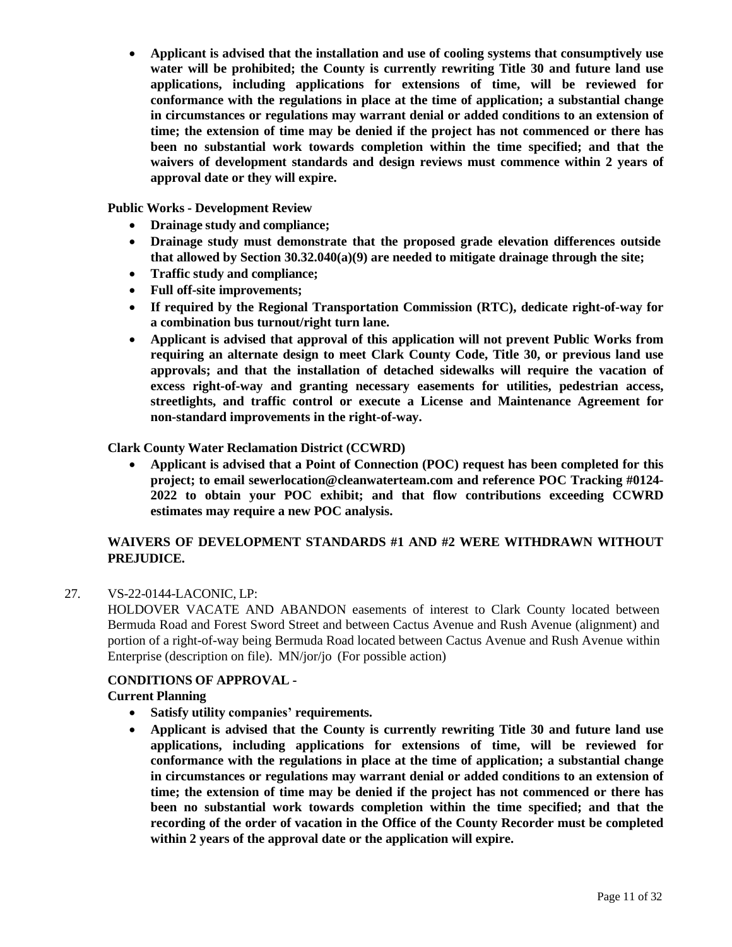• **Applicant is advised that the installation and use of cooling systems that consumptively use water will be prohibited; the County is currently rewriting Title 30 and future land use applications, including applications for extensions of time, will be reviewed for conformance with the regulations in place at the time of application; a substantial change in circumstances or regulations may warrant denial or added conditions to an extension of time; the extension of time may be denied if the project has not commenced or there has been no substantial work towards completion within the time specified; and that the waivers of development standards and design reviews must commence within 2 years of approval date or they will expire.**

**Public Works - Development Review**

- **Drainage study and compliance;**
- **Drainage study must demonstrate that the proposed grade elevation differences outside that allowed by Section 30.32.040(a)(9) are needed to mitigate drainage through the site;**
- **Traffic study and compliance;**
- **Full off-site improvements;**
- **If required by the Regional Transportation Commission (RTC), dedicate right-of-way for a combination bus turnout/right turn lane.**
- **Applicant is advised that approval of this application will not prevent Public Works from requiring an alternate design to meet Clark County Code, Title 30, or previous land use approvals; and that the installation of detached sidewalks will require the vacation of excess right-of-way and granting necessary easements for utilities, pedestrian access, streetlights, and traffic control or execute a License and Maintenance Agreement for non-standard improvements in the right-of-way.**

#### **Clark County Water Reclamation District (CCWRD)**

• **Applicant is advised that a Point of Connection (POC) request has been completed for this project; to email [sewerlocation@cleanwaterteam.com](mailto:sewerlocation@cleanwaterteam.com) and reference POC Tracking #0124- 2022 to obtain your POC exhibit; and that flow contributions exceeding CCWRD estimates may require a new POC analysis.**

# **WAIVERS OF DEVELOPMENT STANDARDS #1 AND #2 WERE WITHDRAWN WITHOUT PREJUDICE.**

#### 27. [VS-22-0144-LACONIC,](http://clark.legistar.com/gateway.aspx?m=l&id=/matter.aspx%3Fkey%3D8897) LP:

[HOLDOVER VACATE AND ABANDON easements of interest to Clark County located between](http://clark.legistar.com/gateway.aspx?m=l&id=/matter.aspx%3Fkey%3D8897)  [Bermuda Road and Forest Sword Street and between Cactus Avenue and Rush Avenue \(alignment\) and](http://clark.legistar.com/gateway.aspx?m=l&id=/matter.aspx%3Fkey%3D8897)  portion of a [right-of-way](http://clark.legistar.com/gateway.aspx?m=l&id=/matter.aspx%3Fkey%3D8897) being Bermuda Road located between Cactus Avenue and Rush Avenue within [Enterprise \(description on file\).](http://clark.legistar.com/gateway.aspx?m=l&id=/matter.aspx%3Fkey%3D8897) MN/jor/jo (For possible action)

#### **CONDITIONS OF APPROVAL -**

- **Satisfy utility companies' requirements.**
- **Applicant is advised that the County is currently rewriting Title 30 and future land use applications, including applications for extensions of time, will be reviewed for conformance with the regulations in place at the time of application; a substantial change in circumstances or regulations may warrant denial or added conditions to an extension of time; the extension of time may be denied if the project has not commenced or there has been no substantial work towards completion within the time specified; and that the recording of the order of vacation in the Office of the County Recorder must be completed within 2 years of the approval date or the application will expire.**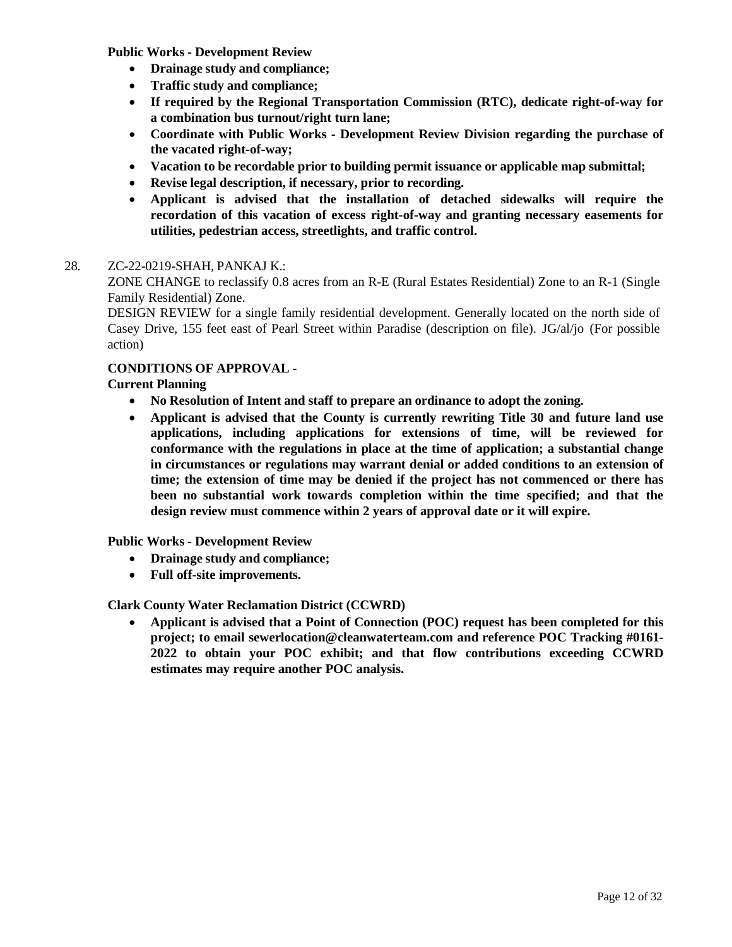**Public Works - Development Review**

- **Drainage study and compliance;**
- **Traffic study and compliance;**
- **If required by the Regional Transportation Commission (RTC), dedicate right-of-way for a combination bus turnout/right turn lane;**
- **Coordinate with Public Works - Development Review Division regarding the purchase of the vacated right-of-way;**
- **Vacation to be recordable prior to building permit issuance or applicable map submittal;**
- **Revise legal description, if necessary, prior to recording.**
- **Applicant is advised that the installation of detached sidewalks will require the recordation of this vacation of excess right-of-way and granting necessary easements for utilities, pedestrian access, streetlights, and traffic control.**

#### 28. [ZC-22-0219-SHAH,](http://clark.legistar.com/gateway.aspx?m=l&id=/matter.aspx%3Fkey%3D8898) PANKAJ K.:

ZONE CHANGE to reclassify 0.8 acres from an R-E (Rural Estates [Residential\)](http://clark.legistar.com/gateway.aspx?m=l&id=/matter.aspx%3Fkey%3D8898) Zone to an R-1 (Single [Family Residential\) Zone.](http://clark.legistar.com/gateway.aspx?m=l&id=/matter.aspx%3Fkey%3D8898)

DESIGN REVIEW for a single family [residential development.](http://clark.legistar.com/gateway.aspx?m=l&id=/matter.aspx%3Fkey%3D8898) Generally located on the north side of Casey Drive, 155 [feet east of Pearl Street within](http://clark.legistar.com/gateway.aspx?m=l&id=/matter.aspx%3Fkey%3D8898) Paradise (description on file). JG/al/jo (For possible [action\)](http://clark.legistar.com/gateway.aspx?m=l&id=/matter.aspx%3Fkey%3D8898)

## **CONDITIONS OF APPROVAL -**

#### **Current Planning**

- **No Resolution of Intent and staff to prepare an ordinance to adopt the zoning.**
- **Applicant is advised that the County is currently rewriting Title 30 and future land use applications, including applications for extensions of time, will be reviewed for conformance with the regulations in place at the time of application; a substantial change in circumstances or regulations may warrant denial or added conditions to an extension of time; the extension of time may be denied if the project has not commenced or there has been no substantial work towards completion within the time specified; and that the design review must commence within 2 years of approval date or it will expire.**

#### **Public Works - Development Review**

- **Drainage study and compliance;**
- **Full off-site improvements.**

#### **Clark County Water Reclamation District (CCWRD)**

• **Applicant is advised that a Point of Connection (POC) request has been completed for this project; to email [sewerlocation@cleanwaterteam.com](mailto:sewerlocation@cleanwaterteam.com) and reference POC Tracking #0161- 2022 to obtain your POC exhibit; and that flow contributions exceeding CCWRD estimates may require another POC analysis.**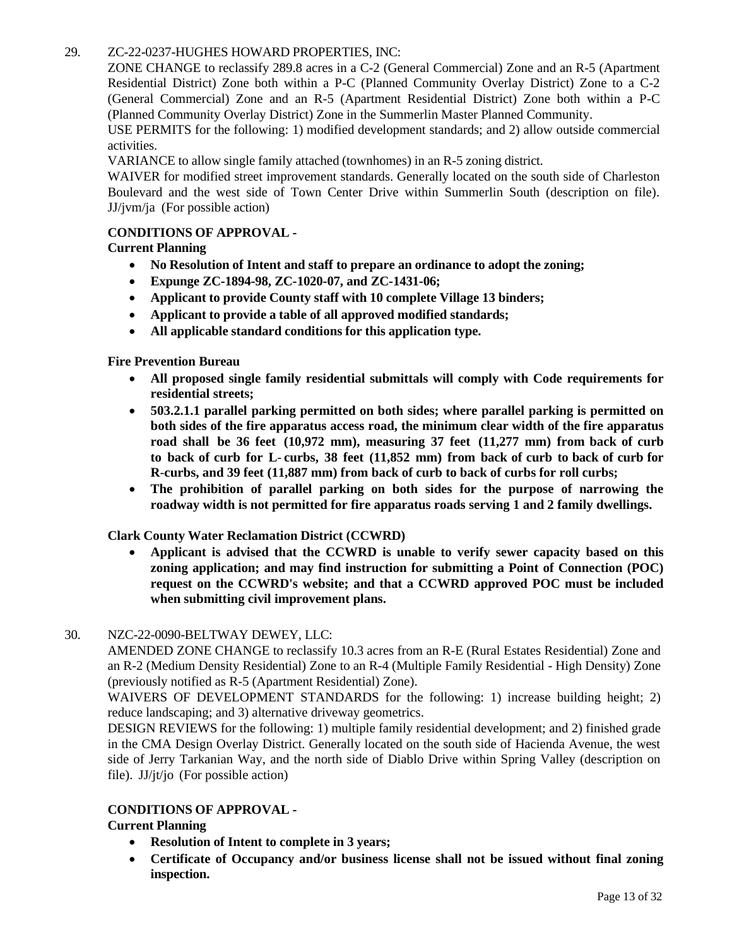# 29. [ZC-22-0237-HUGHES](http://clark.legistar.com/gateway.aspx?m=l&id=/matter.aspx%3Fkey%3D8899) HOWARD PROPERTIES, INC:

ZONE CHANGE to reclassify 289.8 acres in a C-2 (General [Commercial\)](http://clark.legistar.com/gateway.aspx?m=l&id=/matter.aspx%3Fkey%3D8899) Zone and an R-5 (Apartment [Residential District\) Zone both within a P-C \(Planned Community Overlay District\) Zone to a C-2](http://clark.legistar.com/gateway.aspx?m=l&id=/matter.aspx%3Fkey%3D8899)  [\(General Commercial\) Zone and an R-5 \(Apartment Residential District\) Zone both within a P-C](http://clark.legistar.com/gateway.aspx?m=l&id=/matter.aspx%3Fkey%3D8899)  [\(Planned Community Overlay District\) Zone in the Summerlin Master Planned Community.](http://clark.legistar.com/gateway.aspx?m=l&id=/matter.aspx%3Fkey%3D8899)

USE PERMITS for the following: 1) modified [development](http://clark.legistar.com/gateway.aspx?m=l&id=/matter.aspx%3Fkey%3D8899) standards; and 2) allow outside commercial [activities.](http://clark.legistar.com/gateway.aspx?m=l&id=/matter.aspx%3Fkey%3D8899)

VARIANCE to allow single family attached [\(townhomes\)](http://clark.legistar.com/gateway.aspx?m=l&id=/matter.aspx%3Fkey%3D8899) in an R-5 zoning district.

WAIVER for modified street [improvement](http://clark.legistar.com/gateway.aspx?m=l&id=/matter.aspx%3Fkey%3D8899) standards. Generally located on the south side of Charleston [Boulevard and the west side of Town Center Drive within Summerlin South \(description on file\).](http://clark.legistar.com/gateway.aspx?m=l&id=/matter.aspx%3Fkey%3D8899) JJ/jvm/ja (For [possible action\)](http://clark.legistar.com/gateway.aspx?m=l&id=/matter.aspx%3Fkey%3D8899)

#### **CONDITIONS OF APPROVAL -**

**Current Planning**

- **No Resolution of Intent and staff to prepare an ordinance to adopt the zoning;**
- **Expunge ZC-1894-98, ZC-1020-07, and ZC-1431-06;**
- **Applicant to provide County staff with 10 complete Village 13 binders;**
- **Applicant to provide a table of all approved modified standards;**
- **All applicable standard conditions for this application type.**

**Fire Prevention Bureau**

- **All proposed single family residential submittals will comply with Code requirements for residential streets;**
- **503.2.1.1 parallel parking permitted on both sides; where parallel parking is permitted on both sides of the fire apparatus access road, the minimum clear width of the fire apparatus road shall be 36 feet (10,972 mm), measuring 37 feet (11,277 mm) from back of curb** to back of curb for L-curbs, 38 feet (11,852 mm) from back of curb to back of curb for **R**-**curbs, and 39 feet (11,887 mm) from back of curb to back of curbs for roll curbs;**
- **The prohibition of parallel parking on both sides for the purpose of narrowing the roadway width is not permitted for fire apparatus roads serving 1 and 2 family dwellings.**

**Clark County Water Reclamation District (CCWRD)**

• **Applicant is advised that the CCWRD is unable to verify sewer capacity based on this zoning application; and may find instruction for submitting a Point of Connection (POC) request on the CCWRD's website; and that a CCWRD approved POC must be included when submitting civil improvement plans.**

#### 30. [NZC-22-0090-BELTWAY DEWEY,](http://clark.legistar.com/gateway.aspx?m=l&id=/matter.aspx%3Fkey%3D8900) LLC:

AMENDED ZONE CHANGE to reclassify 10.3 acres from an R-E [\(Rural Estates](http://clark.legistar.com/gateway.aspx?m=l&id=/matter.aspx%3Fkey%3D8900) Residential) Zone and an R-2 (Medium Density [Residential\)](http://clark.legistar.com/gateway.aspx?m=l&id=/matter.aspx%3Fkey%3D8900) Zone to an R-4 (Multiple Family Residential - High Density) Zone [\(previously notified as R-5 \(Apartment Residential\) Zone\).](http://clark.legistar.com/gateway.aspx?m=l&id=/matter.aspx%3Fkey%3D8900)

WAIVERS OF [DEVELOPMENT](http://clark.legistar.com/gateway.aspx?m=l&id=/matter.aspx%3Fkey%3D8900) STANDARDS for the following: 1) increase building height; 2) [reduce landscaping; and 3\) alternative driveway geometrics.](http://clark.legistar.com/gateway.aspx?m=l&id=/matter.aspx%3Fkey%3D8900)

DESIGN REVIEWS for the following: 1) multiple family residential [development;](http://clark.legistar.com/gateway.aspx?m=l&id=/matter.aspx%3Fkey%3D8900) and 2) finished grade [in the CMA Design Overlay District. Generally located on the south side of Hacienda Avenue, the west](http://clark.legistar.com/gateway.aspx?m=l&id=/matter.aspx%3Fkey%3D8900)  [side of Jerry Tarkanian Way, and the north side of Diablo Drive within Spring Valley \(description on](http://clark.legistar.com/gateway.aspx?m=l&id=/matter.aspx%3Fkey%3D8900)  file). JJ/jt/jo [\(For possible action\)](http://clark.legistar.com/gateway.aspx?m=l&id=/matter.aspx%3Fkey%3D8900)

#### **CONDITIONS OF APPROVAL -**

- **Resolution of Intent to complete in 3 years;**
- **Certificate of Occupancy and/or business license shall not be issued without final zoning inspection.**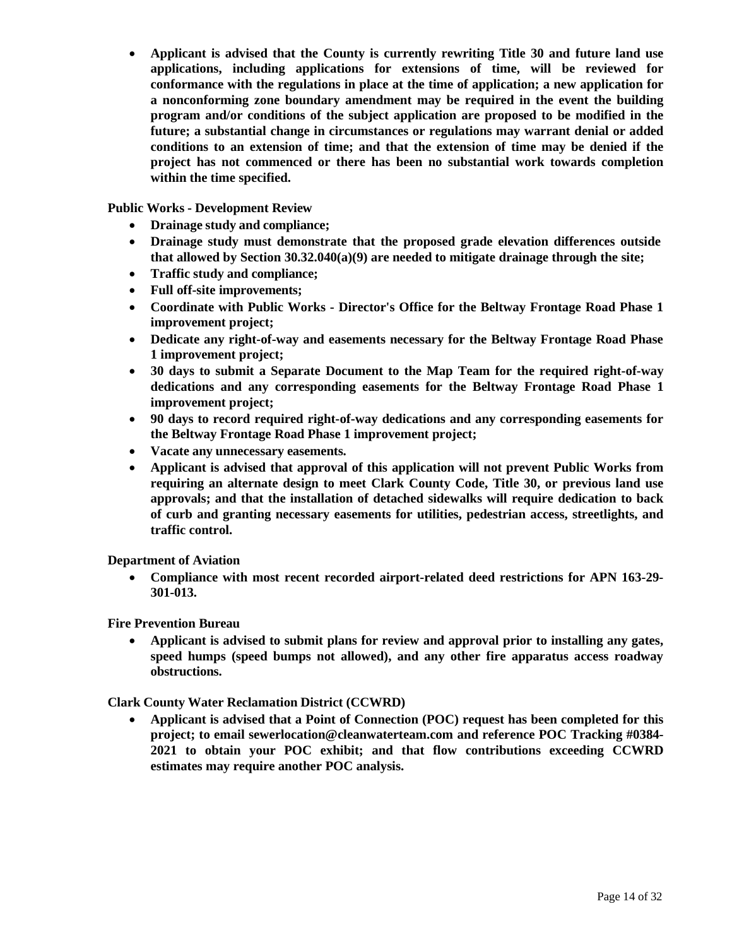• **Applicant is advised that the County is currently rewriting Title 30 and future land use applications, including applications for extensions of time, will be reviewed for conformance with the regulations in place at the time of application; a new application for a nonconforming zone boundary amendment may be required in the event the building program and/or conditions of the subject application are proposed to be modified in the future; a substantial change in circumstances or regulations may warrant denial or added conditions to an extension of time; and that the extension of time may be denied if the project has not commenced or there has been no substantial work towards completion within the time specified.**

**Public Works - Development Review**

- **Drainage study and compliance;**
- **Drainage study must demonstrate that the proposed grade elevation differences outside that allowed by Section 30.32.040(a)(9) are needed to mitigate drainage through the site;**
- **Traffic study and compliance;**
- **Full off-site improvements;**
- **Coordinate with Public Works - Director's Office for the Beltway Frontage Road Phase 1 improvement project;**
- **Dedicate any right-of-way and easements necessary for the Beltway Frontage Road Phase 1 improvement project;**
- **30 days to submit a Separate Document to the Map Team for the required right-of-way dedications and any corresponding easements for the Beltway Frontage Road Phase 1 improvement project;**
- **90 days to record required right-of-way dedications and any corresponding easements for the Beltway Frontage Road Phase 1 improvement project;**
- **Vacate any unnecessary easements.**
- **Applicant is advised that approval of this application will not prevent Public Works from requiring an alternate design to meet Clark County Code, Title 30, or previous land use approvals; and that the installation of detached sidewalks will require dedication to back of curb and granting necessary easements for utilities, pedestrian access, streetlights, and traffic control.**

**Department of Aviation**

• **Compliance with most recent recorded airport-related deed restrictions for APN 163-29- 301-013.**

**Fire Prevention Bureau**

• **Applicant is advised to submit plans for review and approval prior to installing any gates, speed humps (speed bumps not allowed), and any other fire apparatus access roadway obstructions.**

**Clark County Water Reclamation District (CCWRD)**

• **Applicant is advised that a Point of Connection (POC) request has been completed for this project; to email [sewerlocation@cleanwaterteam.com](mailto:sewerlocation@cleanwaterteam.com) and reference POC Tracking #0384- 2021 to obtain your POC exhibit; and that flow contributions exceeding CCWRD estimates may require another POC analysis.**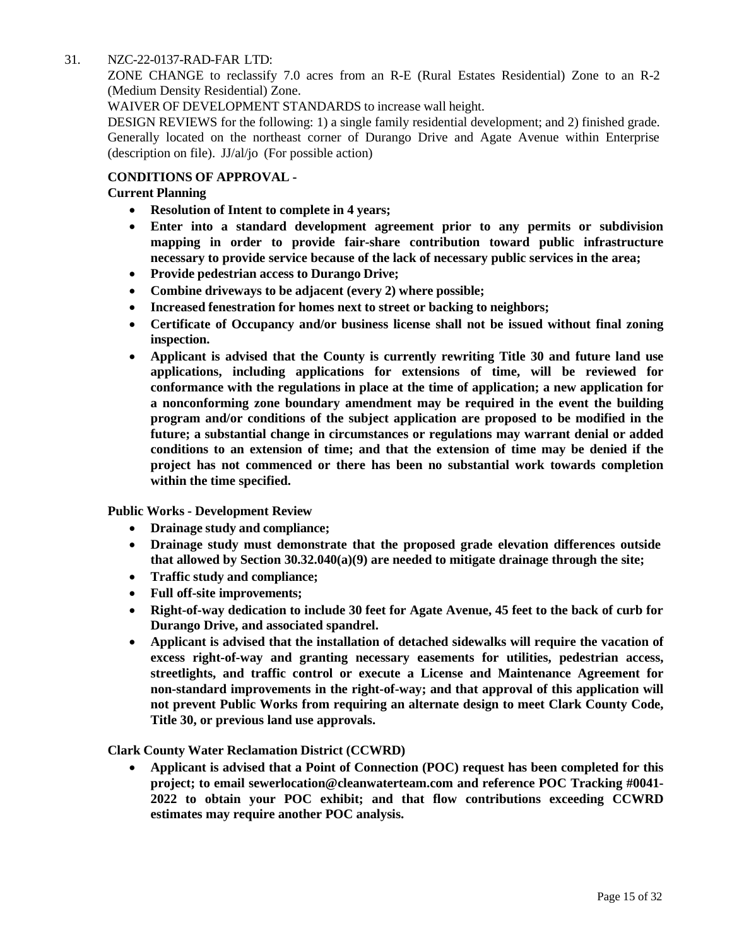#### 31. [NZC-22-0137-RAD-FAR](http://clark.legistar.com/gateway.aspx?m=l&id=/matter.aspx%3Fkey%3D8901) LTD:

ZONE CHANGE to reclassify 7.0 acres from an R-E (Rural Estates [Residential\)](http://clark.legistar.com/gateway.aspx?m=l&id=/matter.aspx%3Fkey%3D8901) Zone to an R-2 [\(Medium Density Residential\) Zone.](http://clark.legistar.com/gateway.aspx?m=l&id=/matter.aspx%3Fkey%3D8901)

WAIVER OF [DEVELOPMENT](http://clark.legistar.com/gateway.aspx?m=l&id=/matter.aspx%3Fkey%3D8901) STANDARDS to increase wall height.

DESIGN REVIEWS for the following: 1) a single family residential [development;](http://clark.legistar.com/gateway.aspx?m=l&id=/matter.aspx%3Fkey%3D8901) and 2) finished grade. [Generally located on the northeast corner of Durango Drive and Agate Avenue within Enterprise](http://clark.legistar.com/gateway.aspx?m=l&id=/matter.aspx%3Fkey%3D8901)  (description on file). JJ/al/jo [\(For possible action\)](http://clark.legistar.com/gateway.aspx?m=l&id=/matter.aspx%3Fkey%3D8901)

#### **CONDITIONS OF APPROVAL -**

#### **Current Planning**

- **Resolution of Intent to complete in 4 years;**
- **Enter into a standard development agreement prior to any permits or subdivision mapping in order to provide fair-share contribution toward public infrastructure necessary to provide service because of the lack of necessary public services in the area;**
- **Provide pedestrian access to Durango Drive;**
- **Combine driveways to be adjacent (every 2) where possible;**
- **Increased fenestration for homes next to street or backing to neighbors;**
- **Certificate of Occupancy and/or business license shall not be issued without final zoning inspection.**
- **Applicant is advised that the County is currently rewriting Title 30 and future land use applications, including applications for extensions of time, will be reviewed for conformance with the regulations in place at the time of application; a new application for a nonconforming zone boundary amendment may be required in the event the building program and/or conditions of the subject application are proposed to be modified in the future; a substantial change in circumstances or regulations may warrant denial or added conditions to an extension of time; and that the extension of time may be denied if the project has not commenced or there has been no substantial work towards completion within the time specified.**

**Public Works - Development Review**

- **Drainage study and compliance;**
- **Drainage study must demonstrate that the proposed grade elevation differences outside that allowed by Section 30.32.040(a)(9) are needed to mitigate drainage through the site;**
- **Traffic study and compliance;**
- **Full off-site improvements;**
- **Right-of-way dedication to include 30 feet for Agate Avenue, 45 feet to the back of curb for Durango Drive, and associated spandrel.**
- **Applicant is advised that the installation of detached sidewalks will require the vacation of excess right-of-way and granting necessary easements for utilities, pedestrian access, streetlights, and traffic control or execute a License and Maintenance Agreement for non-standard improvements in the right-of-way; and that approval of this application will not prevent Public Works from requiring an alternate design to meet Clark County Code, Title 30, or previous land use approvals.**

**Clark County Water Reclamation District (CCWRD)**

• **Applicant is advised that a Point of Connection (POC) request has been completed for this project; to email [sewerlocation@cleanwaterteam.com](mailto:sewerlocation@cleanwaterteam.com) and reference POC Tracking #0041- 2022 to obtain your POC exhibit; and that flow contributions exceeding CCWRD estimates may require another POC analysis.**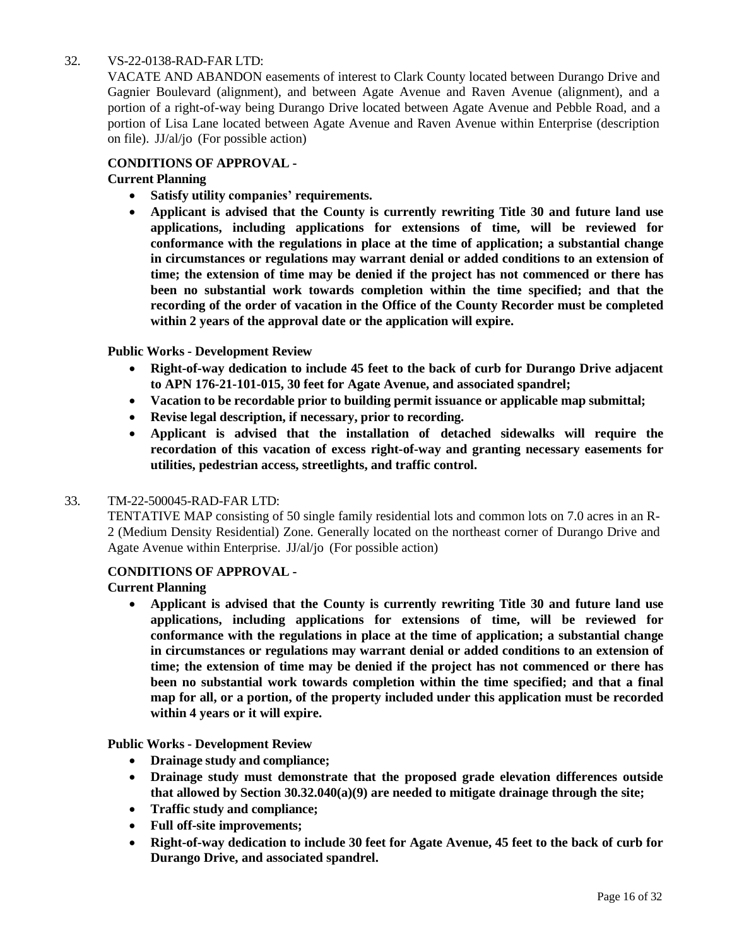# 32. [VS-22-0138-RAD-FAR](http://clark.legistar.com/gateway.aspx?m=l&id=/matter.aspx%3Fkey%3D8902) LTD:

VACATE AND [ABANDON](http://clark.legistar.com/gateway.aspx?m=l&id=/matter.aspx%3Fkey%3D8902) easements of interest to Clark County located between Durango Drive and [Gagnier Boulevard \(alignment\), and between Agate Avenue and Raven Avenue \(alignment\), and a](http://clark.legistar.com/gateway.aspx?m=l&id=/matter.aspx%3Fkey%3D8902)  [portion of a right-of-way being Durango Drive located between Agate Avenue and Pebble Road, and a](http://clark.legistar.com/gateway.aspx?m=l&id=/matter.aspx%3Fkey%3D8902)  [portion of Lisa Lane located between Agate Avenue and Raven Avenue within Enterprise \(description](http://clark.legistar.com/gateway.aspx?m=l&id=/matter.aspx%3Fkey%3D8902)  on file). JJ/al/jo [\(For possible action\)](http://clark.legistar.com/gateway.aspx?m=l&id=/matter.aspx%3Fkey%3D8902)

#### **CONDITIONS OF APPROVAL -**

# **Current Planning**

- **Satisfy utility companies' requirements.**
- **Applicant is advised that the County is currently rewriting Title 30 and future land use applications, including applications for extensions of time, will be reviewed for conformance with the regulations in place at the time of application; a substantial change in circumstances or regulations may warrant denial or added conditions to an extension of time; the extension of time may be denied if the project has not commenced or there has been no substantial work towards completion within the time specified; and that the recording of the order of vacation in the Office of the County Recorder must be completed within 2 years of the approval date or the application will expire.**

#### **Public Works - Development Review**

- **Right-of-way dedication to include 45 feet to the back of curb for Durango Drive adjacent to APN 176-21-101-015, 30 feet for Agate Avenue, and associated spandrel;**
- **Vacation to be recordable prior to building permit issuance or applicable map submittal;**
- **Revise legal description, if necessary, prior to recording.**
- **Applicant is advised that the installation of detached sidewalks will require the recordation of this vacation of excess right-of-way and granting necessary easements for utilities, pedestrian access, streetlights, and traffic control.**

#### 33. [TM-22-500045-RAD-FAR](http://clark.legistar.com/gateway.aspx?m=l&id=/matter.aspx%3Fkey%3D8903) LTD:

TENTATIVE MAP consisting of 50 single family [residential lots](http://clark.legistar.com/gateway.aspx?m=l&id=/matter.aspx%3Fkey%3D8903) and common lots on 7.0 acres in an R-2 (Medium Density Residential) Zone. Generally located on the [northeast corner](http://clark.legistar.com/gateway.aspx?m=l&id=/matter.aspx%3Fkey%3D8903) of Durango Drive and [Agate Avenue within Enterprise.](http://clark.legistar.com/gateway.aspx?m=l&id=/matter.aspx%3Fkey%3D8903) JJ/al/jo (For possible action)

#### **CONDITIONS OF APPROVAL -**

#### **Current Planning**

• **Applicant is advised that the County is currently rewriting Title 30 and future land use applications, including applications for extensions of time, will be reviewed for conformance with the regulations in place at the time of application; a substantial change in circumstances or regulations may warrant denial or added conditions to an extension of time; the extension of time may be denied if the project has not commenced or there has been no substantial work towards completion within the time specified; and that a final map for all, or a portion, of the property included under this application must be recorded within 4 years or it will expire.**

**Public Works - Development Review**

- **Drainage study and compliance;**
- **Drainage study must demonstrate that the proposed grade elevation differences outside that allowed by Section 30.32.040(a)(9) are needed to mitigate drainage through the site;**
- **Traffic study and compliance;**
- **Full off-site improvements;**
- **Right-of-way dedication to include 30 feet for Agate Avenue, 45 feet to the back of curb for Durango Drive, and associated spandrel.**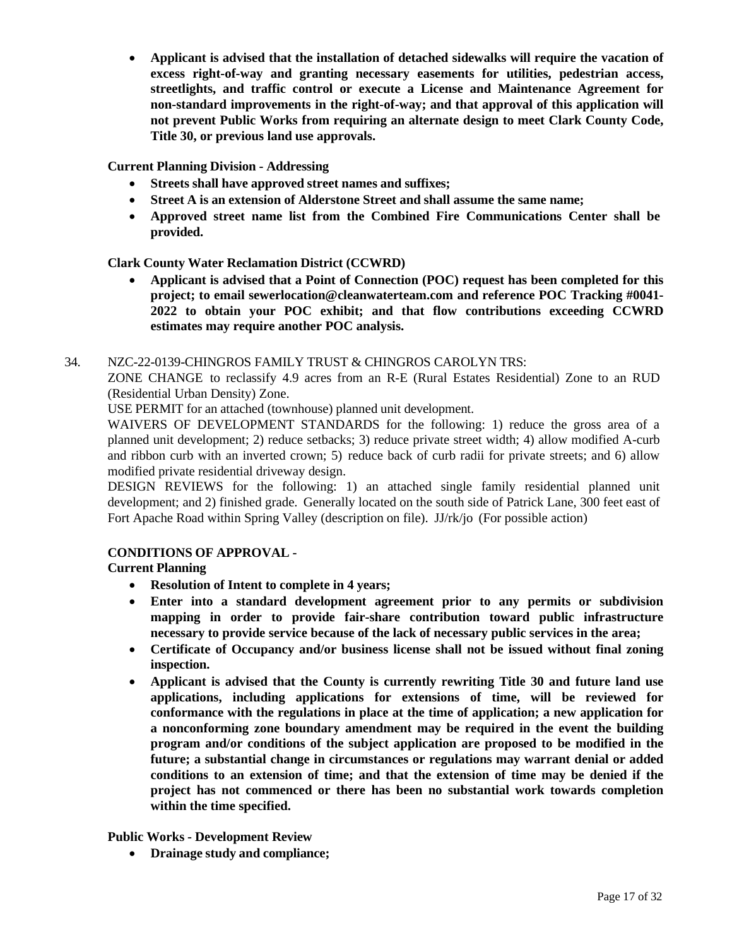• **Applicant is advised that the installation of detached sidewalks will require the vacation of excess right-of-way and granting necessary easements for utilities, pedestrian access, streetlights, and traffic control or execute a License and Maintenance Agreement for non-standard improvements in the right-of-way; and that approval of this application will not prevent Public Works from requiring an alternate design to meet Clark County Code, Title 30, or previous land use approvals.**

# **Current Planning Division - Addressing**

- **Streets shall have approved street names and suffixes;**
- **Street A is an extension of Alderstone Street and shall assume the same name;**
- **Approved street name list from the Combined Fire Communications Center shall be provided.**

**Clark County Water Reclamation District (CCWRD)**

• **Applicant is advised that a Point of Connection (POC) request has been completed for this project; to email [sewerlocation@cleanwaterteam.com](mailto:sewerlocation@cleanwaterteam.com) and reference POC Tracking #0041- 2022 to obtain your POC exhibit; and that flow contributions exceeding CCWRD estimates may require another POC analysis.**

#### 34. [NZC-22-0139-CHINGROS](http://clark.legistar.com/gateway.aspx?m=l&id=/matter.aspx%3Fkey%3D8904) FAMILY TRUST & CHINGROS CAROLYN TRS:

ZONE CHANGE to reclassify 4.9 acres from an R-E (Rural Estates [Residential\)](http://clark.legistar.com/gateway.aspx?m=l&id=/matter.aspx%3Fkey%3D8904) Zone to an RUD [\(Residential Urban Density\) Zone.](http://clark.legistar.com/gateway.aspx?m=l&id=/matter.aspx%3Fkey%3D8904)

USE PERMIT for an attached (townhouse) planned unit [development.](http://clark.legistar.com/gateway.aspx?m=l&id=/matter.aspx%3Fkey%3D8904)

[WAIVERS OF DEVELOPMENT STANDARDS for the following: 1\) reduce the gross area of a](http://clark.legistar.com/gateway.aspx?m=l&id=/matter.aspx%3Fkey%3D8904)  planned unit [development;](http://clark.legistar.com/gateway.aspx?m=l&id=/matter.aspx%3Fkey%3D8904) 2) reduce setbacks; 3) reduce private street width; 4) allow modified A-curb and ribbon curb with an inverted crown; 5) [reduce back of curb radii for private streets; and 6\) allow](http://clark.legistar.com/gateway.aspx?m=l&id=/matter.aspx%3Fkey%3D8904)  [modified private residential driveway design.](http://clark.legistar.com/gateway.aspx?m=l&id=/matter.aspx%3Fkey%3D8904)

[DESIGN REVIEWS for the following: 1\) an attached single family residential planned unit](http://clark.legistar.com/gateway.aspx?m=l&id=/matter.aspx%3Fkey%3D8904)  [development; and](http://clark.legistar.com/gateway.aspx?m=l&id=/matter.aspx%3Fkey%3D8904) 2) finished grade. Generally located on the south side of Patrick Lane, 300 feet east of [Fort Apache Road within Spring Valley \(description on file\).](http://clark.legistar.com/gateway.aspx?m=l&id=/matter.aspx%3Fkey%3D8904) JJ/rk/jo (For possible action)

# **CONDITIONS OF APPROVAL -**

#### **Current Planning**

- **Resolution of Intent to complete in 4 years;**
- **Enter into a standard development agreement prior to any permits or subdivision mapping in order to provide fair-share contribution toward public infrastructure necessary to provide service because of the lack of necessary public services in the area;**
- **Certificate of Occupancy and/or business license shall not be issued without final zoning inspection.**
- **Applicant is advised that the County is currently rewriting Title 30 and future land use applications, including applications for extensions of time, will be reviewed for conformance with the regulations in place at the time of application; a new application for a nonconforming zone boundary amendment may be required in the event the building program and/or conditions of the subject application are proposed to be modified in the future; a substantial change in circumstances or regulations may warrant denial or added conditions to an extension of time; and that the extension of time may be denied if the project has not commenced or there has been no substantial work towards completion within the time specified.**

#### **Public Works - Development Review**

• **Drainage study and compliance;**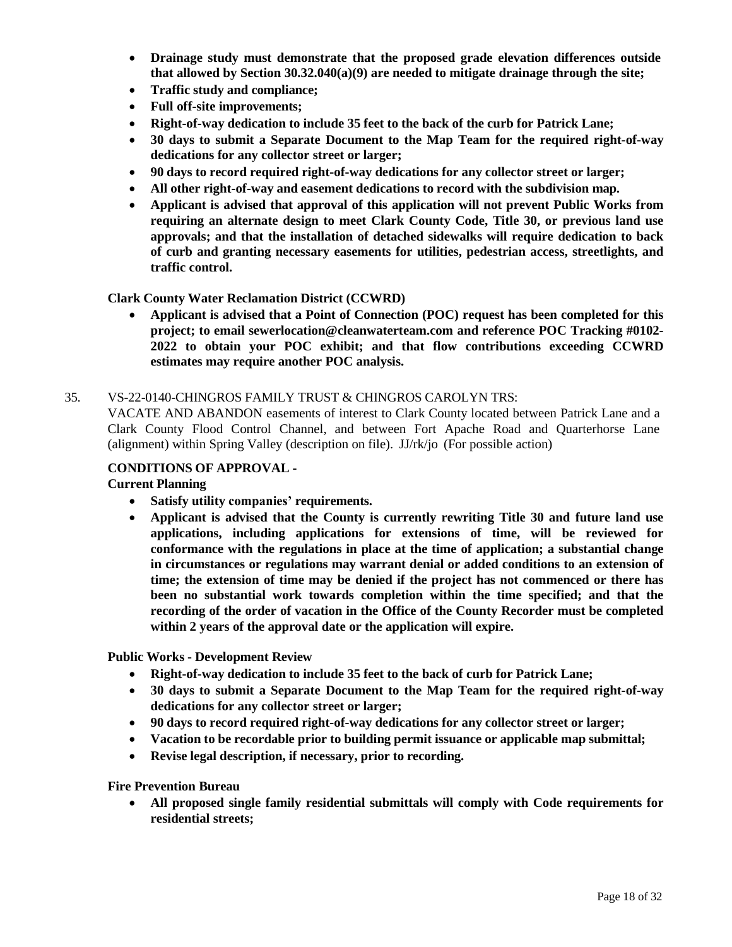- **Drainage study must demonstrate that the proposed grade elevation differences outside that allowed by Section 30.32.040(a)(9) are needed to mitigate drainage through the site;**
- **Traffic study and compliance;**
- **Full off-site improvements;**
- **Right-of-way dedication to include 35 feet to the back of the curb for Patrick Lane;**
- **30 days to submit a Separate Document to the Map Team for the required right-of-way dedications for any collector street or larger;**
- **90 days to record required right-of-way dedications for any collector street or larger;**
- **All other right-of-way and easement dedications to record with the subdivision map.**
- **Applicant is advised that approval of this application will not prevent Public Works from requiring an alternate design to meet Clark County Code, Title 30, or previous land use approvals; and that the installation of detached sidewalks will require dedication to back of curb and granting necessary easements for utilities, pedestrian access, streetlights, and traffic control.**

#### **Clark County Water Reclamation District (CCWRD)**

• **Applicant is advised that a Point of Connection (POC) request has been completed for this project; to email [sewerlocation@cleanwaterteam.com](mailto:sewerlocation@cleanwaterteam.com) and reference POC Tracking #0102- 2022 to obtain your POC exhibit; and that flow contributions exceeding CCWRD estimates may require another POC analysis.**

#### 35. [VS-22-0140-CHINGROS FAMILY TRUST](http://clark.legistar.com/gateway.aspx?m=l&id=/matter.aspx%3Fkey%3D8905) & CHINGROS CAROLYN TRS:

VACATE AND [ABANDON](http://clark.legistar.com/gateway.aspx?m=l&id=/matter.aspx%3Fkey%3D8905) easements of interest to Clark County located between Patrick Lane and a [Clark County Flood Control Channel, and between Fort Apache Road and Quarterhorse Lane](http://clark.legistar.com/gateway.aspx?m=l&id=/matter.aspx%3Fkey%3D8905)  [\(alignment\) within Spring Valley \(description on file\).](http://clark.legistar.com/gateway.aspx?m=l&id=/matter.aspx%3Fkey%3D8905) JJ/rk/jo (For possible action)

#### **CONDITIONS OF APPROVAL -**

#### **Current Planning**

- **Satisfy utility companies' requirements.**
- **Applicant is advised that the County is currently rewriting Title 30 and future land use applications, including applications for extensions of time, will be reviewed for conformance with the regulations in place at the time of application; a substantial change in circumstances or regulations may warrant denial or added conditions to an extension of time; the extension of time may be denied if the project has not commenced or there has been no substantial work towards completion within the time specified; and that the recording of the order of vacation in the Office of the County Recorder must be completed within 2 years of the approval date or the application will expire.**

**Public Works - Development Review**

- **Right-of-way dedication to include 35 feet to the back of curb for Patrick Lane;**
- **30 days to submit a Separate Document to the Map Team for the required right-of-way dedications for any collector street or larger;**
- **90 days to record required right-of-way dedications for any collector street or larger;**
- **Vacation to be recordable prior to building permit issuance or applicable map submittal;**
- **Revise legal description, if necessary, prior to recording.**

**Fire Prevention Bureau**

• **All proposed single family residential submittals will comply with Code requirements for residential streets;**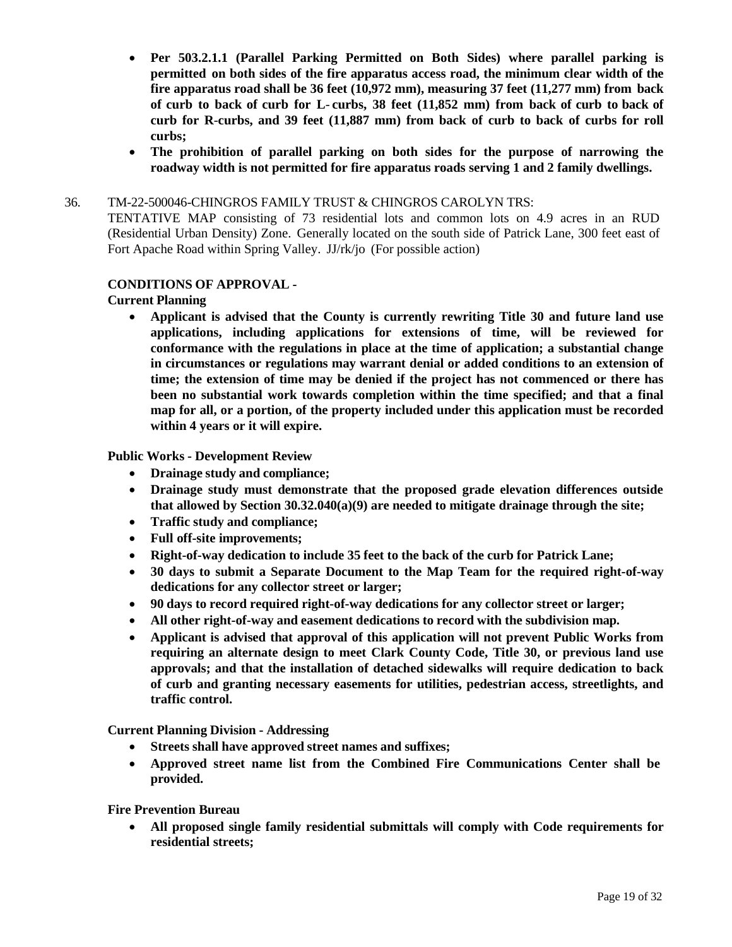- **Per 503.2.1.1 (Parallel Parking Permitted on Both Sides) where parallel parking is permitted on both sides of the fire apparatus access road, the minimum clear width of the fire apparatus road shall be 36 feet (10,972 mm), measuring 37 feet (11,277 mm) from back** of curb to back of curb for L-curbs, 38 feet (11,852 mm) from back of curb to back of **curb for R**-**curbs, and 39 feet (11,887 mm) from back of curb to back of curbs for roll curbs;**
- **The prohibition of parallel parking on both sides for the purpose of narrowing the roadway width is not permitted for fire apparatus roads serving 1 and 2 family dwellings.**

#### 36. [TM-22-500046-CHINGROS](http://clark.legistar.com/gateway.aspx?m=l&id=/matter.aspx%3Fkey%3D8906) FAMILY TRUST & CHINGROS CAROLYN TRS:

[TENTATIVE MAP consisting of 73 residential lots and common lots on 4.9 acres in an RUD](http://clark.legistar.com/gateway.aspx?m=l&id=/matter.aspx%3Fkey%3D8906)  [\(Residential Urban](http://clark.legistar.com/gateway.aspx?m=l&id=/matter.aspx%3Fkey%3D8906) Density) Zone. Generally located on the south side of Patrick Lane, 300 feet east of [Fort Apache Road within Spring Valley.](http://clark.legistar.com/gateway.aspx?m=l&id=/matter.aspx%3Fkey%3D8906) JJ/rk/jo (For possible action)

#### **CONDITIONS OF APPROVAL -**

#### **Current Planning**

• **Applicant is advised that the County is currently rewriting Title 30 and future land use applications, including applications for extensions of time, will be reviewed for conformance with the regulations in place at the time of application; a substantial change in circumstances or regulations may warrant denial or added conditions to an extension of time; the extension of time may be denied if the project has not commenced or there has been no substantial work towards completion within the time specified; and that a final map for all, or a portion, of the property included under this application must be recorded within 4 years or it will expire.**

#### **Public Works - Development Review**

- **Drainage study and compliance;**
- **Drainage study must demonstrate that the proposed grade elevation differences outside that allowed by Section 30.32.040(a)(9) are needed to mitigate drainage through the site;**
- **Traffic study and compliance;**
- **Full off-site improvements;**
- **Right-of-way dedication to include 35 feet to the back of the curb for Patrick Lane;**
- **30 days to submit a Separate Document to the Map Team for the required right-of-way dedications for any collector street or larger;**
- **90 days to record required right-of-way dedications for any collector street or larger;**
- **All other right-of-way and easement dedications to record with the subdivision map.**
- **Applicant is advised that approval of this application will not prevent Public Works from requiring an alternate design to meet Clark County Code, Title 30, or previous land use approvals; and that the installation of detached sidewalks will require dedication to back of curb and granting necessary easements for utilities, pedestrian access, streetlights, and traffic control.**

**Current Planning Division - Addressing**

- **Streets shall have approved street names and suffixes;**
- **Approved street name list from the Combined Fire Communications Center shall be provided.**

#### **Fire Prevention Bureau**

• **All proposed single family residential submittals will comply with Code requirements for residential streets;**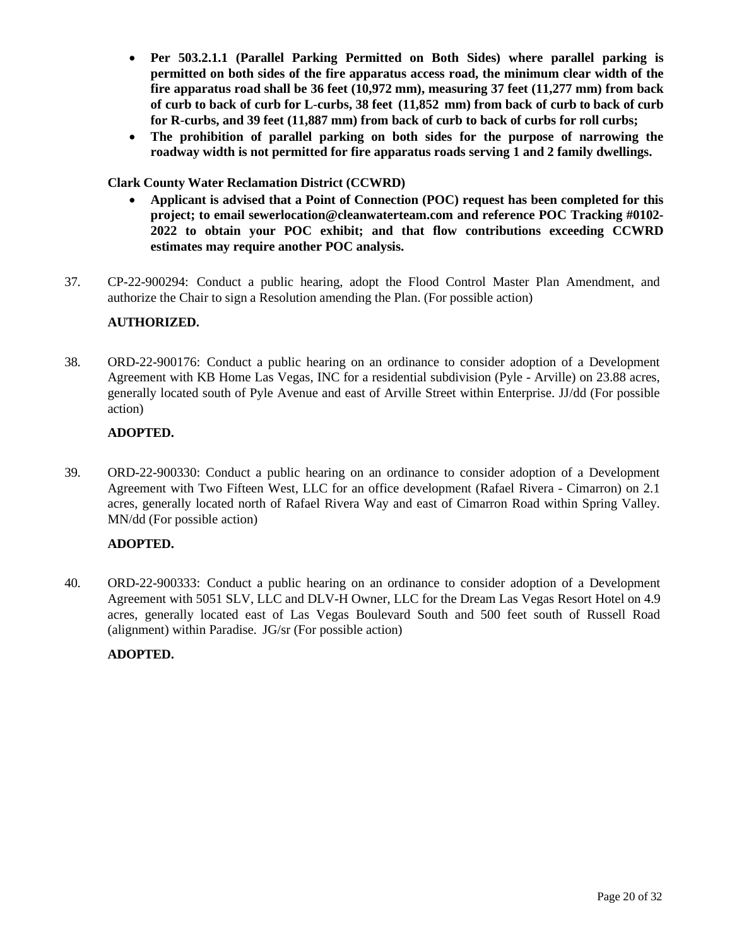- **Per 503.2.1.1 (Parallel Parking Permitted on Both Sides) where parallel parking is permitted on both sides of the fire apparatus access road, the minimum clear width of the fire apparatus road shall be 36 feet (10,972 mm), measuring 37 feet (11,277 mm) from back** of curb to back of curb for L-curbs, 38 feet (11,852 mm) from back of curb to back of curb **for R**-**curbs, and 39 feet (11,887 mm) from back of curb to back of curbs for roll curbs;**
- **The prohibition of parallel parking on both sides for the purpose of narrowing the roadway width is not permitted for fire apparatus roads serving 1 and 2 family dwellings.**

#### **Clark County Water Reclamation District (CCWRD)**

- **Applicant is advised that a Point of Connection (POC) request has been completed for this project; to email [sewerlocation@cleanwaterteam.com](mailto:sewerlocation@cleanwaterteam.com) and reference POC Tracking #0102- 2022 to obtain your POC exhibit; and that flow contributions exceeding CCWRD estimates may require another POC analysis.**
- 37. [CP-22-900294:](http://clark.legistar.com/gateway.aspx?m=l&id=/matter.aspx%3Fkey%3D8907) Conduct a public hearing, adopt the Flood Control Master Plan Amendment, and [authorize the Chair to sign a Resolution amending the Plan. \(For possible action\)](http://clark.legistar.com/gateway.aspx?m=l&id=/matter.aspx%3Fkey%3D8907)

#### **AUTHORIZED.**

38. ORD-22-900176: [Conduct a public hearing on an ordinance to consider adoption of a Development](http://clark.legistar.com/gateway.aspx?m=l&id=/matter.aspx%3Fkey%3D8908)  Agreement with KB Home Las Vegas, INC for a residential [subdivision](http://clark.legistar.com/gateway.aspx?m=l&id=/matter.aspx%3Fkey%3D8908) (Pyle - Arville) on 23.88 acres, generally [located south of Pyle Avenue and east of Arville Street within Enterprise. JJ/dd \(For possible](http://clark.legistar.com/gateway.aspx?m=l&id=/matter.aspx%3Fkey%3D8908)  [action\)](http://clark.legistar.com/gateway.aspx?m=l&id=/matter.aspx%3Fkey%3D8908)

#### **ADOPTED.**

39. [ORD-22-900330: Conduct a public hearing on an ordinance to consider adoption of a Development](http://clark.legistar.com/gateway.aspx?m=l&id=/matter.aspx%3Fkey%3D8909)  Agreement with Two Fifteen West, LLC for an office [development \(Rafael](http://clark.legistar.com/gateway.aspx?m=l&id=/matter.aspx%3Fkey%3D8909) Rivera - Cimarron) on 2.1 acres, generally located north [of Rafael Rivera Way](http://clark.legistar.com/gateway.aspx?m=l&id=/matter.aspx%3Fkey%3D8909) and east of Cimarron Road within Spring Valley. [MN/dd \(For possible action\)](http://clark.legistar.com/gateway.aspx?m=l&id=/matter.aspx%3Fkey%3D8909)

#### **ADOPTED.**

40. ORD-22-900333: [Conduct a public hearing on an ordinance to consider adoption of a Development](http://clark.legistar.com/gateway.aspx?m=l&id=/matter.aspx%3Fkey%3D8910)  [Agreement](http://clark.legistar.com/gateway.aspx?m=l&id=/matter.aspx%3Fkey%3D8910) with 5051 SLV, LLC and DLV-H Owner, LLC for the Dream Las Vegas Resort Hotel on 4.9 [acres, generally located east of Las Vegas Boulevard South and 500 feet south of Russell Road](http://clark.legistar.com/gateway.aspx?m=l&id=/matter.aspx%3Fkey%3D8910)  [\(alignment\) within Paradise.](http://clark.legistar.com/gateway.aspx?m=l&id=/matter.aspx%3Fkey%3D8910) JG/sr (For possible action)

#### **ADOPTED.**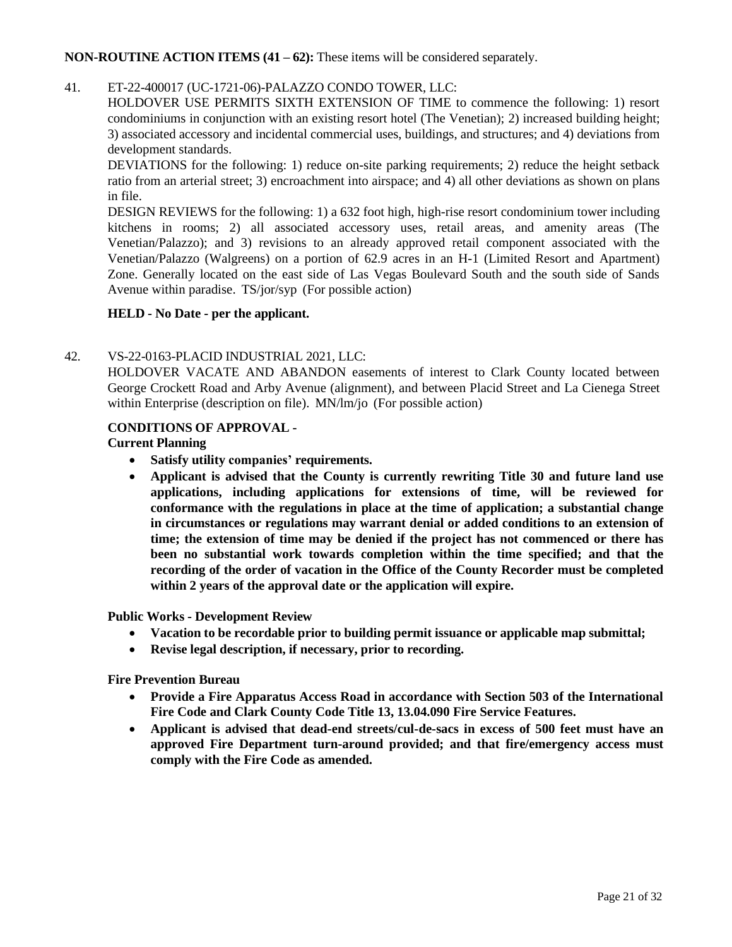#### **NON-ROUTINE ACTION ITEMS (41 – 62):** These items will be considered separately.

# 41. ET-22-400017 [\(UC-1721-06\)-PALAZZO CONDO TOWER,](http://clark.legistar.com/gateway.aspx?m=l&id=/matter.aspx%3Fkey%3D8911) LLC:

[HOLDOVER USE PERMITS SIXTH EXTENSION OF TIME to commence the following: 1\) resort](http://clark.legistar.com/gateway.aspx?m=l&id=/matter.aspx%3Fkey%3D8911)  condominiums in conjunction with an existing [resort hotel \(The](http://clark.legistar.com/gateway.aspx?m=l&id=/matter.aspx%3Fkey%3D8911) Venetian); 2) increased building height; 3) associated accessory and incidental commercial uses, buildings, and structures; and 4) [deviations from](http://clark.legistar.com/gateway.aspx?m=l&id=/matter.aspx%3Fkey%3D8911)  [development standards.](http://clark.legistar.com/gateway.aspx?m=l&id=/matter.aspx%3Fkey%3D8911)

[DEVIATIONS for the following: 1\) reduce on-site parking requirements; 2\) reduce the height setback](http://clark.legistar.com/gateway.aspx?m=l&id=/matter.aspx%3Fkey%3D8911)  ratio from an arterial street; 3) [encroachment into](http://clark.legistar.com/gateway.aspx?m=l&id=/matter.aspx%3Fkey%3D8911) airspace; and 4) all other deviations as shown on plans [in file.](http://clark.legistar.com/gateway.aspx?m=l&id=/matter.aspx%3Fkey%3D8911)

DESIGN REVIEWS for the following: 1) a 632 foot high, high-rise resort [condominium](http://clark.legistar.com/gateway.aspx?m=l&id=/matter.aspx%3Fkey%3D8911) tower including [kitchens in rooms; 2\) all associated accessory uses, retail areas, and amenity areas \(The](http://clark.legistar.com/gateway.aspx?m=l&id=/matter.aspx%3Fkey%3D8911)  [Venetian/Palazzo\); and 3\) revisions to an already approved retail component associated with the](http://clark.legistar.com/gateway.aspx?m=l&id=/matter.aspx%3Fkey%3D8911)  [Venetian/Palazzo \(Walgreens\) on a portion of 62.9 acres in an H-1 \(Limited Resort and Apartment\)](http://clark.legistar.com/gateway.aspx?m=l&id=/matter.aspx%3Fkey%3D8911)  [Zone. Generally located on the east side of Las Vegas Boulevard South and the south side of Sands](http://clark.legistar.com/gateway.aspx?m=l&id=/matter.aspx%3Fkey%3D8911)  [Avenue within paradise.](http://clark.legistar.com/gateway.aspx?m=l&id=/matter.aspx%3Fkey%3D8911) TS/jor/syp (For possible action)

#### **HELD - No Date - per the applicant.**

#### 42. [VS-22-0163-PLACID](http://clark.legistar.com/gateway.aspx?m=l&id=/matter.aspx%3Fkey%3D8912) INDUSTRIAL 2021, LLC:

[HOLDOVER VACATE AND ABANDON easements of interest to Clark County located between](http://clark.legistar.com/gateway.aspx?m=l&id=/matter.aspx%3Fkey%3D8912)  George Crockett Road and Arby [Avenue \(alignment\),](http://clark.legistar.com/gateway.aspx?m=l&id=/matter.aspx%3Fkey%3D8912) and between Placid Street and La Cienega Street [within Enterprise \(description on file\).](http://clark.legistar.com/gateway.aspx?m=l&id=/matter.aspx%3Fkey%3D8912) MN/lm/jo (For possible action)

#### **CONDITIONS OF APPROVAL -**

**Current Planning**

- **Satisfy utility companies' requirements.**
- **Applicant is advised that the County is currently rewriting Title 30 and future land use applications, including applications for extensions of time, will be reviewed for conformance with the regulations in place at the time of application; a substantial change in circumstances or regulations may warrant denial or added conditions to an extension of time; the extension of time may be denied if the project has not commenced or there has been no substantial work towards completion within the time specified; and that the recording of the order of vacation in the Office of the County Recorder must be completed within 2 years of the approval date or the application will expire.**

**Public Works - Development Review**

- **Vacation to be recordable prior to building permit issuance or applicable map submittal;**
- **Revise legal description, if necessary, prior to recording.**

**Fire Prevention Bureau**

- **Provide a Fire Apparatus Access Road in accordance with Section 503 of the International Fire Code and Clark County Code Title 13, 13.04.090 Fire Service Features.**
- **Applicant is advised that dead-end streets/cul-de-sacs in excess of 500 feet must have an approved Fire Department turn-around provided; and that fire/emergency access must comply with the Fire Code as amended.**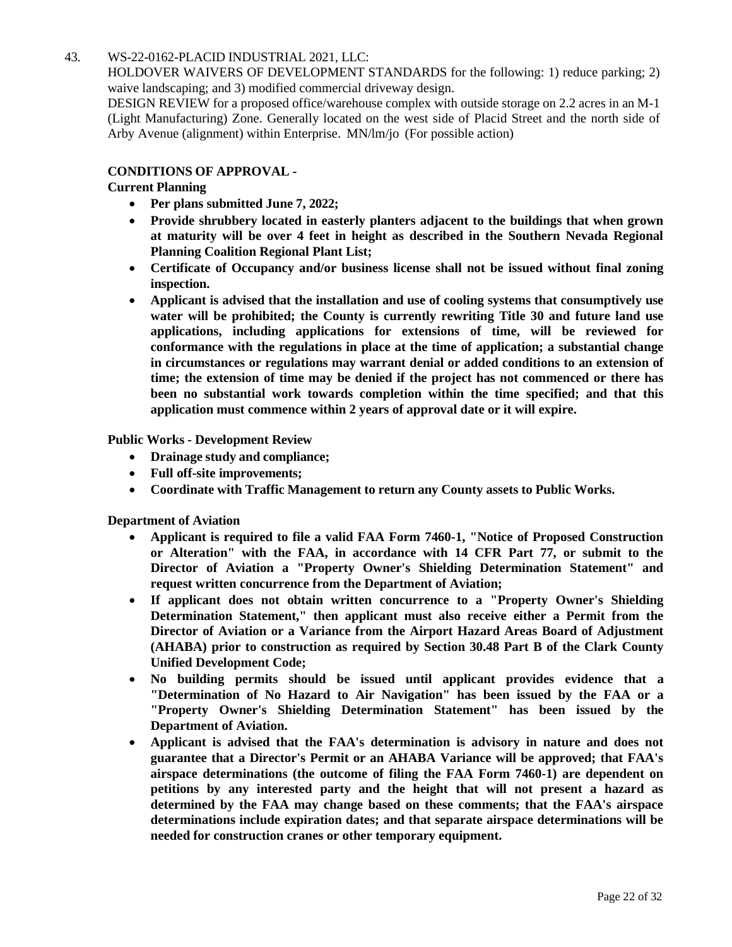# 43. [WS-22-0162-PLACID](http://clark.legistar.com/gateway.aspx?m=l&id=/matter.aspx%3Fkey%3D8913) INDUSTRIAL 2021, LLC:

HOLDOVER WAIVERS OF [DEVELOPMENT](http://clark.legistar.com/gateway.aspx?m=l&id=/matter.aspx%3Fkey%3D8913) STANDARDS for the following: 1) reduce parking; 2) [waive landscaping; and 3\) modified commercial driveway design.](http://clark.legistar.com/gateway.aspx?m=l&id=/matter.aspx%3Fkey%3D8913)

DESIGN REVIEW for a proposed [office/warehouse](http://clark.legistar.com/gateway.aspx?m=l&id=/matter.aspx%3Fkey%3D8913) complex with outside storage on 2.2 acres in an M-1 [\(Light Manufacturing\)](http://clark.legistar.com/gateway.aspx?m=l&id=/matter.aspx%3Fkey%3D8913) Zone. Generally located on the west side of Placid Street and the north side of [Arby Avenue \(alignment\) within Enterprise.](http://clark.legistar.com/gateway.aspx?m=l&id=/matter.aspx%3Fkey%3D8913) MN/lm/jo (For possible action)

# **CONDITIONS OF APPROVAL -**

#### **Current Planning**

- **Per plans submitted June 7, 2022;**
- **Provide shrubbery located in easterly planters adjacent to the buildings that when grown at maturity will be over 4 feet in height as described in the Southern Nevada Regional Planning Coalition Regional Plant List;**
- **Certificate of Occupancy and/or business license shall not be issued without final zoning inspection.**
- **Applicant is advised that the installation and use of cooling systems that consumptively use water will be prohibited; the County is currently rewriting Title 30 and future land use applications, including applications for extensions of time, will be reviewed for conformance with the regulations in place at the time of application; a substantial change in circumstances or regulations may warrant denial or added conditions to an extension of time; the extension of time may be denied if the project has not commenced or there has been no substantial work towards completion within the time specified; and that this application must commence within 2 years of approval date or it will expire.**

**Public Works - Development Review**

- **Drainage study and compliance;**
- **Full off-site improvements;**
- **Coordinate with Traffic Management to return any County assets to Public Works.**

**Department of Aviation**

- **Applicant is required to file a valid FAA Form 7460-1, "Notice of Proposed Construction or Alteration" with the FAA, in accordance with 14 CFR Part 77, or submit to the Director of Aviation a "Property Owner's Shielding Determination Statement" and request written concurrence from the Department of Aviation;**
- **If applicant does not obtain written concurrence to a "Property Owner's Shielding Determination Statement," then applicant must also receive either a Permit from the Director of Aviation or a Variance from the Airport Hazard Areas Board of Adjustment (AHABA) prior to construction as required by Section 30.48 Part B of the Clark County Unified Development Code;**
- **No building permits should be issued until applicant provides evidence that a "Determination of No Hazard to Air Navigation" has been issued by the FAA or a "Property Owner's Shielding Determination Statement" has been issued by the Department of Aviation.**
- **Applicant is advised that the FAA's determination is advisory in nature and does not guarantee that a Director's Permit or an AHABA Variance will be approved; that FAA's airspace determinations (the outcome of filing the FAA Form 7460-1) are dependent on petitions by any interested party and the height that will not present a hazard as determined by the FAA may change based on these comments; that the FAA's airspace determinations include expiration dates; and that separate airspace determinations will be needed for construction cranes or other temporary equipment.**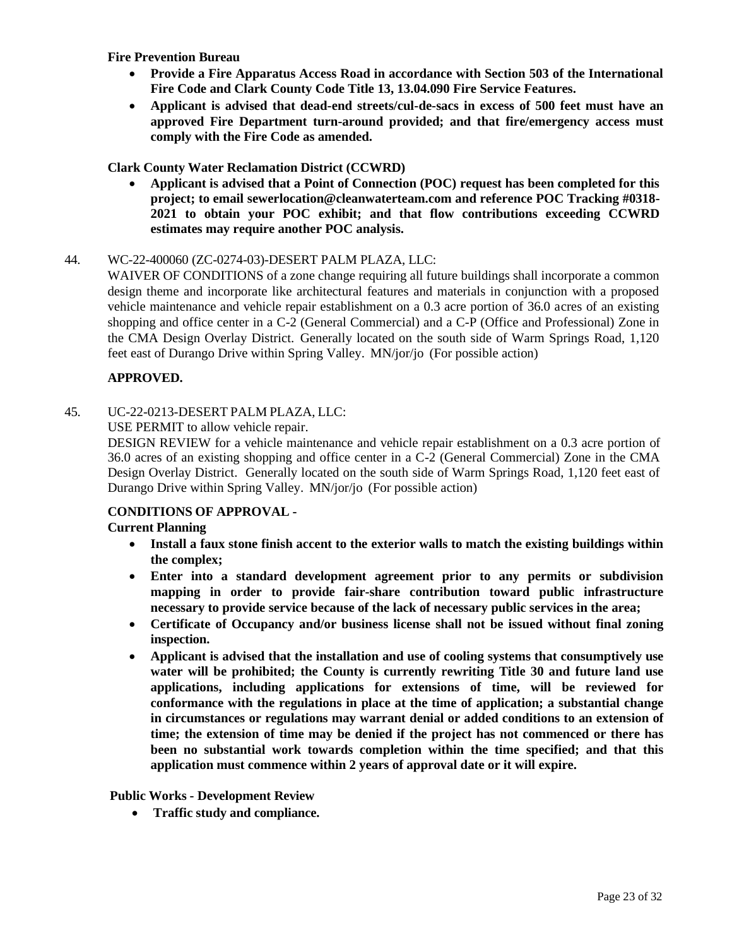**Fire Prevention Bureau**

- **Provide a Fire Apparatus Access Road in accordance with Section 503 of the International Fire Code and Clark County Code Title 13, 13.04.090 Fire Service Features.**
- **Applicant is advised that dead-end streets/cul-de-sacs in excess of 500 feet must have an approved Fire Department turn-around provided; and that fire/emergency access must comply with the Fire Code as amended.**

# **Clark County Water Reclamation District (CCWRD)**

• **Applicant is advised that a Point of Connection (POC) request has been completed for this project; to email [sewerlocation@cleanwaterteam.com a](mailto:sewerlocation@cleanwaterteam.com)nd reference POC Tracking #0318- 2021 to obtain your POC exhibit; and that flow contributions exceeding CCWRD estimates may require another POC analysis.**

# 44. WC-22-400060 [\(ZC-0274-03\)-DESERT](http://clark.legistar.com/gateway.aspx?m=l&id=/matter.aspx%3Fkey%3D8914) PALM PLAZA, LLC:

WAIVER OF [CONDITIONS](http://clark.legistar.com/gateway.aspx?m=l&id=/matter.aspx%3Fkey%3D8914) of a zone change requiring all future buildings shall incorporate a common [design theme and incorporate like architectural features and materials in conjunction with a proposed](http://clark.legistar.com/gateway.aspx?m=l&id=/matter.aspx%3Fkey%3D8914)  [vehicle maintenance and vehicle repair establishment on a 0.3 acre portion of 36.0 acres of an existing](http://clark.legistar.com/gateway.aspx?m=l&id=/matter.aspx%3Fkey%3D8914)  [shopping and office center in a C-2 \(General Commercial\) and a C-P \(Office and Professional\) Zone in](http://clark.legistar.com/gateway.aspx?m=l&id=/matter.aspx%3Fkey%3D8914)  the CMA Design Overlay District. [Generally located on the south side of Warm Springs Road, 1,120](http://clark.legistar.com/gateway.aspx?m=l&id=/matter.aspx%3Fkey%3D8914)  [feet east of Durango Drive within Spring Valley.](http://clark.legistar.com/gateway.aspx?m=l&id=/matter.aspx%3Fkey%3D8914) MN/jor/jo (For possible action)

# **APPROVED.**

# 45. [UC-22-0213-DESERT](http://clark.legistar.com/gateway.aspx?m=l&id=/matter.aspx%3Fkey%3D8915) PALM PLAZA, LLC:

[USE PERMIT to allow vehicle repair.](http://clark.legistar.com/gateway.aspx?m=l&id=/matter.aspx%3Fkey%3D8915)

DESIGN REVIEW for a vehicle maintenance and vehicle repair [establishment](http://clark.legistar.com/gateway.aspx?m=l&id=/matter.aspx%3Fkey%3D8915) on a 0.3 acre portion of 36.0 [acres of an existing shopping and office center in a C-2 \(General Commercial\) Zone in the CMA](http://clark.legistar.com/gateway.aspx?m=l&id=/matter.aspx%3Fkey%3D8915)  Design Overlay District. Generally located on the south side of Warm Springs Road, 1,120 [feet east of](http://clark.legistar.com/gateway.aspx?m=l&id=/matter.aspx%3Fkey%3D8915)  [Durango Drive within Spring Valley.](http://clark.legistar.com/gateway.aspx?m=l&id=/matter.aspx%3Fkey%3D8915) MN/jor/jo (For possible action)

# **CONDITIONS OF APPROVAL -**

**Current Planning**

- **Install a faux stone finish accent to the exterior walls to match the existing buildings within the complex;**
- **Enter into a standard development agreement prior to any permits or subdivision mapping in order to provide fair-share contribution toward public infrastructure necessary to provide service because of the lack of necessary public services in the area;**
- **Certificate of Occupancy and/or business license shall not be issued without final zoning inspection.**
- **Applicant is advised that the installation and use of cooling systems that consumptively use water will be prohibited; the County is currently rewriting Title 30 and future land use applications, including applications for extensions of time, will be reviewed for conformance with the regulations in place at the time of application; a substantial change in circumstances or regulations may warrant denial or added conditions to an extension of time; the extension of time may be denied if the project has not commenced or there has been no substantial work towards completion within the time specified; and that this application must commence within 2 years of approval date or it will expire.**

#### **Public Works - Development Review**

• **Traffic study and compliance.**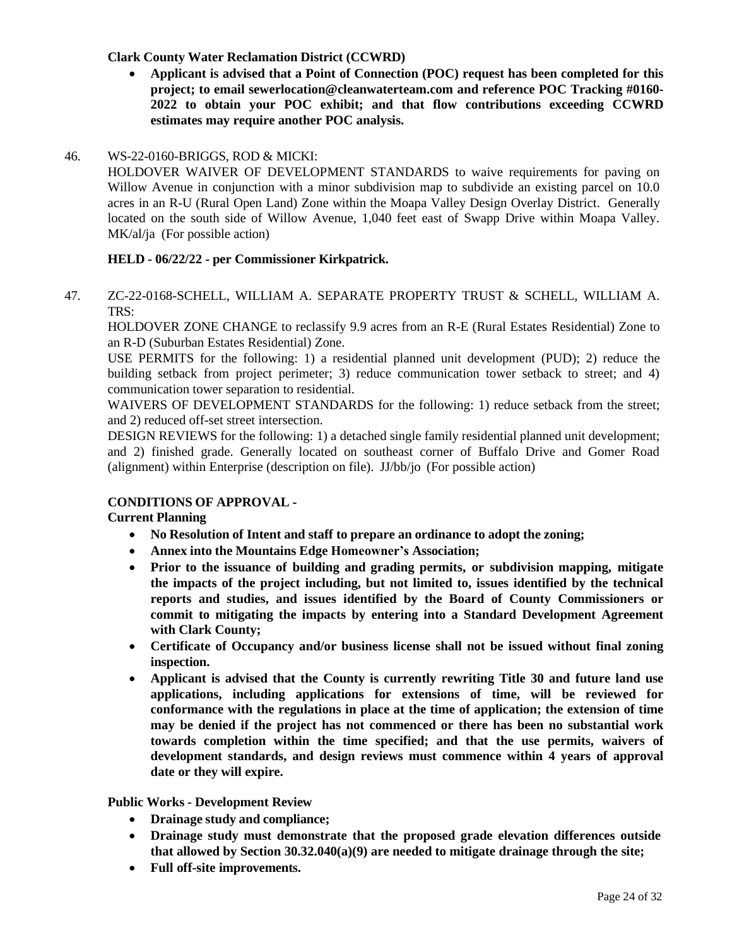## **Clark County Water Reclamation District (CCWRD)**

• **Applicant is advised that a Point of Connection (POC) request has been completed for this project; to email [sewerlocation@cleanwaterteam.com](mailto:sewerlocation@cleanwaterteam.com) and reference POC Tracking #0160- 2022 to obtain your POC exhibit; and that flow contributions exceeding CCWRD estimates may require another POC analysis.**

#### 46. [WS-22-0160-BRIGGS, ROD](http://clark.legistar.com/gateway.aspx?m=l&id=/matter.aspx%3Fkey%3D8916) & MICKI:

[HOLDOVER WAIVER OF DEVELOPMENT STANDARDS to waive requirements for paving on](http://clark.legistar.com/gateway.aspx?m=l&id=/matter.aspx%3Fkey%3D8916)  Willow Avenue in conjunction with a minor subdivision map to subdivide an existing parcel on 10.0 acres in an R-U [\(Rural Open](http://clark.legistar.com/gateway.aspx?m=l&id=/matter.aspx%3Fkey%3D8916) Land) Zone within the Moapa Valley Design Overlay District. Generally [located on the south side of Willow Avenue, 1,040 feet east of Swapp Drive within Moapa Valley.](http://clark.legistar.com/gateway.aspx?m=l&id=/matter.aspx%3Fkey%3D8916) MK/al/ja [\(For possible action\)](http://clark.legistar.com/gateway.aspx?m=l&id=/matter.aspx%3Fkey%3D8916)

#### **HELD - 06/22/22 - per Commissioner Kirkpatrick.**

47. [ZC-22-0168-SCHELL,](http://clark.legistar.com/gateway.aspx?m=l&id=/matter.aspx%3Fkey%3D8917) WILLIAM A. SEPARATE PROPERTY TRUST & SCHELL, WILLIAM A. [TRS:](http://clark.legistar.com/gateway.aspx?m=l&id=/matter.aspx%3Fkey%3D8917)

[HOLDOVER](http://clark.legistar.com/gateway.aspx?m=l&id=/matter.aspx%3Fkey%3D8917) ZONE CHANGE to reclassify 9.9 acres from an R-E (Rural Estates Residential) Zone to [an R-D \(Suburban Estates Residential\) Zone.](http://clark.legistar.com/gateway.aspx?m=l&id=/matter.aspx%3Fkey%3D8917)

USE PERMITS for the following: 1) a residential planned unit [development](http://clark.legistar.com/gateway.aspx?m=l&id=/matter.aspx%3Fkey%3D8917) (PUD); 2) reduce the building setback from [project perimeter; 3\) reduce communication tower setback to street; and 4\)](http://clark.legistar.com/gateway.aspx?m=l&id=/matter.aspx%3Fkey%3D8917)  [communication tower separation to residential.](http://clark.legistar.com/gateway.aspx?m=l&id=/matter.aspx%3Fkey%3D8917)

WAIVERS OF [DEVELOPMENT](http://clark.legistar.com/gateway.aspx?m=l&id=/matter.aspx%3Fkey%3D8917) STANDARDS for the following: 1) reduce setback from the street; [and 2\) reduced off-set street intersection.](http://clark.legistar.com/gateway.aspx?m=l&id=/matter.aspx%3Fkey%3D8917)

DESIGN REVIEWS for the following: 1) a detached single family residential planned unit [development;](http://clark.legistar.com/gateway.aspx?m=l&id=/matter.aspx%3Fkey%3D8917)  [and 2\) finished grade. Generally located on southeast corner of Buffalo Drive and Gomer Road](http://clark.legistar.com/gateway.aspx?m=l&id=/matter.aspx%3Fkey%3D8917)  [\(alignment\) within Enterprise \(description on file\).](http://clark.legistar.com/gateway.aspx?m=l&id=/matter.aspx%3Fkey%3D8917) JJ/bb/jo (For possible action)

#### **CONDITIONS OF APPROVAL -**

**Current Planning**

- **No Resolution of Intent and staff to prepare an ordinance to adopt the zoning;**
- **Annex into the Mountains Edge Homeowner's Association;**
- **Prior to the issuance of building and grading permits, or subdivision mapping, mitigate the impacts of the project including, but not limited to, issues identified by the technical reports and studies, and issues identified by the Board of County Commissioners or commit to mitigating the impacts by entering into a Standard Development Agreement with Clark County;**
- **Certificate of Occupancy and/or business license shall not be issued without final zoning inspection.**
- **Applicant is advised that the County is currently rewriting Title 30 and future land use applications, including applications for extensions of time, will be reviewed for conformance with the regulations in place at the time of application; the extension of time may be denied if the project has not commenced or there has been no substantial work towards completion within the time specified; and that the use permits, waivers of development standards, and design reviews must commence within 4 years of approval date or they will expire.**

**Public Works - Development Review**

- **Drainage study and compliance;**
- **Drainage study must demonstrate that the proposed grade elevation differences outside that allowed by Section 30.32.040(a)(9) are needed to mitigate drainage through the site;**
- **Full off-site improvements.**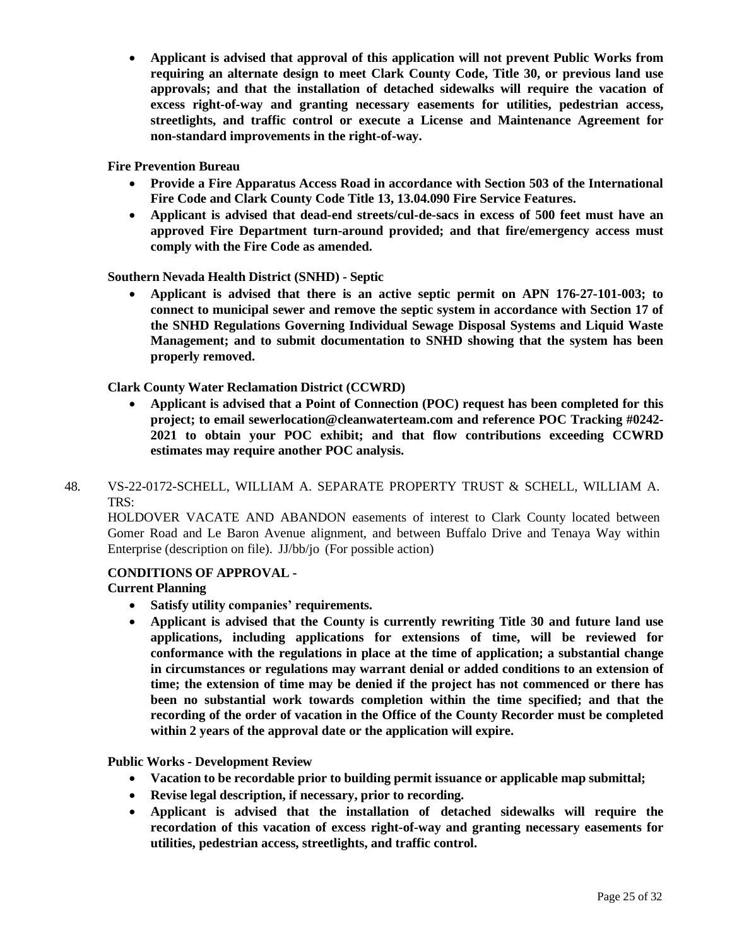• **Applicant is advised that approval of this application will not prevent Public Works from requiring an alternate design to meet Clark County Code, Title 30, or previous land use approvals; and that the installation of detached sidewalks will require the vacation of excess right-of-way and granting necessary easements for utilities, pedestrian access, streetlights, and traffic control or execute a License and Maintenance Agreement for non-standard improvements in the right-of-way.**

**Fire Prevention Bureau**

- **Provide a Fire Apparatus Access Road in accordance with Section 503 of the International Fire Code and Clark County Code Title 13, 13.04.090 Fire Service Features.**
- **Applicant is advised that dead-end streets/cul-de-sacs in excess of 500 feet must have an approved Fire Department turn-around provided; and that fire/emergency access must comply with the Fire Code as amended.**

**Southern Nevada Health District (SNHD) - Septic**

• **Applicant is advised that there is an active septic permit on APN 176-27-101-003; to connect to municipal sewer and remove the septic system in accordance with Section 17 of the SNHD Regulations Governing Individual Sewage Disposal Systems and Liquid Waste Management; and to submit documentation to SNHD showing that the system has been properly removed.**

**Clark County Water Reclamation District (CCWRD)**

- **Applicant is advised that a Point of Connection (POC) request has been completed for this project; to email [sewerlocation@cleanwaterteam.com](mailto:sewerlocation@cleanwaterteam.com) and reference POC Tracking #0242- 2021 to obtain your POC exhibit; and that flow contributions exceeding CCWRD estimates may require another POC analysis.**
- 48. [VS-22-0172-SCHELL,](http://clark.legistar.com/gateway.aspx?m=l&id=/matter.aspx%3Fkey%3D8918) WILLIAM A. SEPARATE PROPERTY TRUST & SCHELL, WILLIAM A. [TRS:](http://clark.legistar.com/gateway.aspx?m=l&id=/matter.aspx%3Fkey%3D8918)

[HOLDOVER](http://clark.legistar.com/gateway.aspx?m=l&id=/matter.aspx%3Fkey%3D8918) VACATE AND ABANDON easements of interest to Clark County located between Gomer Road and Le Baron Avenue [alignment,](http://clark.legistar.com/gateway.aspx?m=l&id=/matter.aspx%3Fkey%3D8918) and between Buffalo Drive and Tenaya Way within [Enterprise \(description on file\).](http://clark.legistar.com/gateway.aspx?m=l&id=/matter.aspx%3Fkey%3D8918) JJ/bb/jo (For possible action)

# **CONDITIONS OF APPROVAL -**

#### **Current Planning**

- **Satisfy utility companies' requirements.**
- **Applicant is advised that the County is currently rewriting Title 30 and future land use applications, including applications for extensions of time, will be reviewed for conformance with the regulations in place at the time of application; a substantial change in circumstances or regulations may warrant denial or added conditions to an extension of time; the extension of time may be denied if the project has not commenced or there has been no substantial work towards completion within the time specified; and that the recording of the order of vacation in the Office of the County Recorder must be completed within 2 years of the approval date or the application will expire.**

**Public Works - Development Review**

- **Vacation to be recordable prior to building permit issuance or applicable map submittal;**
- **Revise legal description, if necessary, prior to recording.**
- **Applicant is advised that the installation of detached sidewalks will require the recordation of this vacation of excess right-of-way and granting necessary easements for utilities, pedestrian access, streetlights, and traffic control.**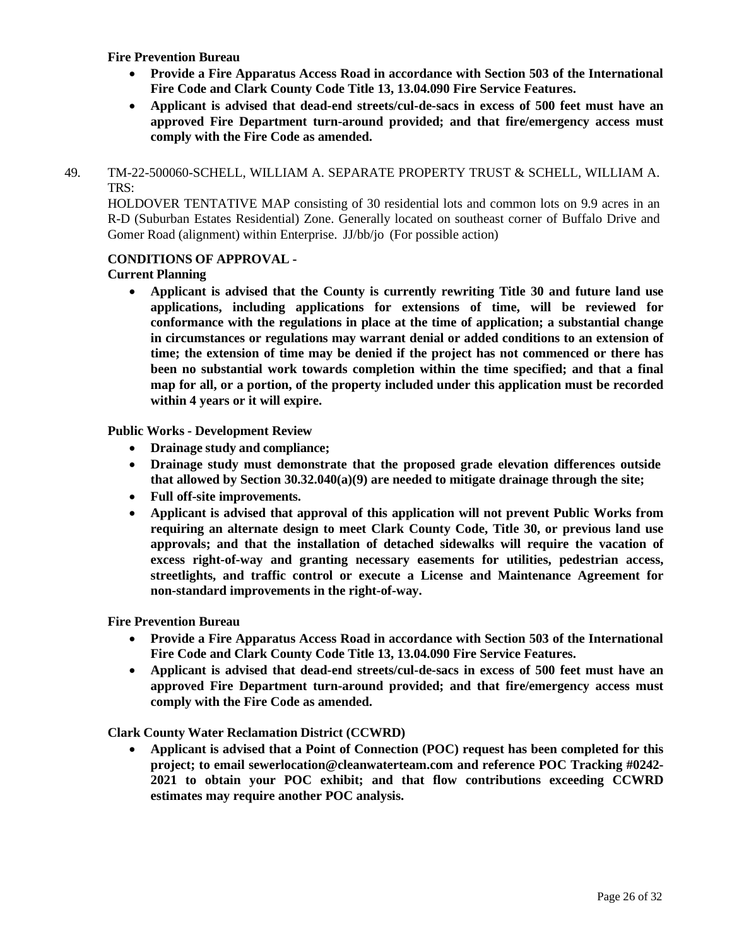**Fire Prevention Bureau**

- **Provide a Fire Apparatus Access Road in accordance with Section 503 of the International Fire Code and Clark County Code Title 13, 13.04.090 Fire Service Features.**
- **Applicant is advised that dead-end streets/cul-de-sacs in excess of 500 feet must have an approved Fire Department turn-around provided; and that fire/emergency access must comply with the Fire Code as amended.**
- 49. [TM-22-500060-SCHELL,](http://clark.legistar.com/gateway.aspx?m=l&id=/matter.aspx%3Fkey%3D8919) WILLIAM A. SEPARATE PROPERTY TRUST & SCHELL, WILLIAM A. [TRS:](http://clark.legistar.com/gateway.aspx?m=l&id=/matter.aspx%3Fkey%3D8919)

HOLDOVER TENTATIVE MAP consisting of 30 [residential lots](http://clark.legistar.com/gateway.aspx?m=l&id=/matter.aspx%3Fkey%3D8919) and common lots on 9.9 acres in an R-D (Suburban Estates Residential) Zone. Generally located on [southeast corner](http://clark.legistar.com/gateway.aspx?m=l&id=/matter.aspx%3Fkey%3D8919) of Buffalo Drive and [Gomer Road \(alignment\) within Enterprise.](http://clark.legistar.com/gateway.aspx?m=l&id=/matter.aspx%3Fkey%3D8919) JJ/bb/jo (For possible action)

# **CONDITIONS OF APPROVAL -**

# **Current Planning**

• **Applicant is advised that the County is currently rewriting Title 30 and future land use applications, including applications for extensions of time, will be reviewed for conformance with the regulations in place at the time of application; a substantial change in circumstances or regulations may warrant denial or added conditions to an extension of time; the extension of time may be denied if the project has not commenced or there has been no substantial work towards completion within the time specified; and that a final map for all, or a portion, of the property included under this application must be recorded within 4 years or it will expire.**

**Public Works - Development Review**

- **Drainage study and compliance;**
- **Drainage study must demonstrate that the proposed grade elevation differences outside that allowed by Section 30.32.040(a)(9) are needed to mitigate drainage through the site;**
- **Full off-site improvements.**
- **Applicant is advised that approval of this application will not prevent Public Works from requiring an alternate design to meet Clark County Code, Title 30, or previous land use approvals; and that the installation of detached sidewalks will require the vacation of excess right-of-way and granting necessary easements for utilities, pedestrian access, streetlights, and traffic control or execute a License and Maintenance Agreement for non-standard improvements in the right-of-way.**

**Fire Prevention Bureau**

- **Provide a Fire Apparatus Access Road in accordance with Section 503 of the International Fire Code and Clark County Code Title 13, 13.04.090 Fire Service Features.**
- **Applicant is advised that dead-end streets/cul-de-sacs in excess of 500 feet must have an approved Fire Department turn-around provided; and that fire/emergency access must comply with the Fire Code as amended.**

**Clark County Water Reclamation District (CCWRD)**

• **Applicant is advised that a Point of Connection (POC) request has been completed for this project; to email [sewerlocation@cleanwaterteam.com](mailto:sewerlocation@cleanwaterteam.com) and reference POC Tracking #0242- 2021 to obtain your POC exhibit; and that flow contributions exceeding CCWRD estimates may require another POC analysis.**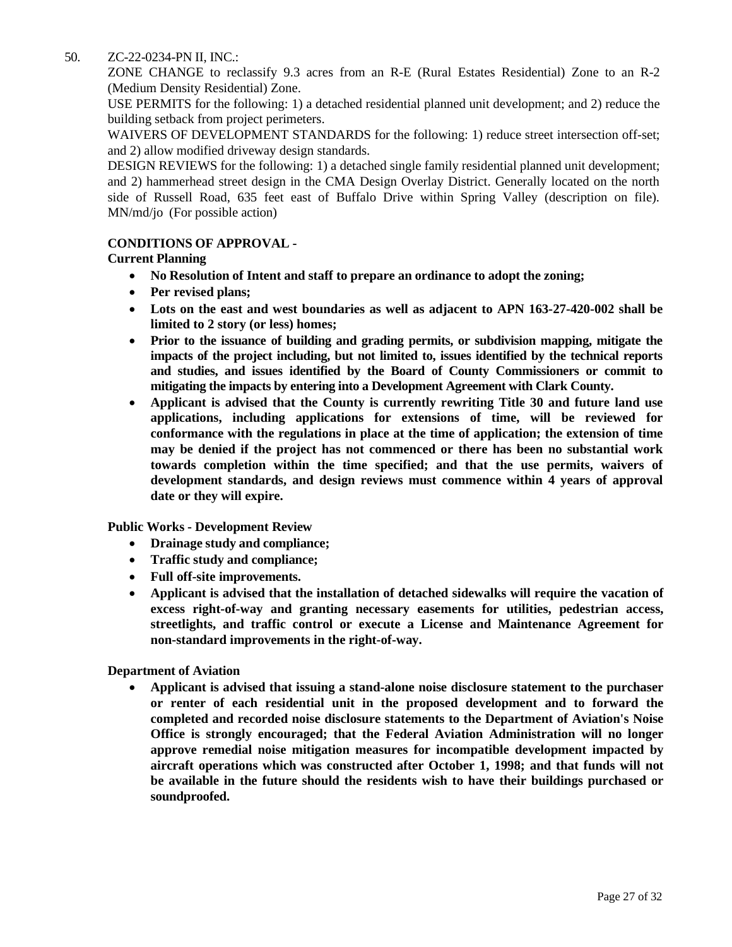## 50. [ZC-22-0234-PN](http://clark.legistar.com/gateway.aspx?m=l&id=/matter.aspx%3Fkey%3D8920) II, INC.:

ZONE CHANGE to reclassify 9.3 acres from an R-E (Rural Estates [Residential\)](http://clark.legistar.com/gateway.aspx?m=l&id=/matter.aspx%3Fkey%3D8920) Zone to an R-2 [\(Medium Density Residential\) Zone.](http://clark.legistar.com/gateway.aspx?m=l&id=/matter.aspx%3Fkey%3D8920)

USE PERMITS for the following: 1) a detached residential planned unit [development;](http://clark.legistar.com/gateway.aspx?m=l&id=/matter.aspx%3Fkey%3D8920) and 2) reduce the [building setback from project perimeters.](http://clark.legistar.com/gateway.aspx?m=l&id=/matter.aspx%3Fkey%3D8920)

WAIVERS OF [DEVELOPMENT](http://clark.legistar.com/gateway.aspx?m=l&id=/matter.aspx%3Fkey%3D8920) STANDARDS for the following: 1) reduce street intersection off-set; [and 2\) allow modified driveway design standards.](http://clark.legistar.com/gateway.aspx?m=l&id=/matter.aspx%3Fkey%3D8920)

DESIGN REVIEWS for the following: 1) a detached single family residential planned unit [development;](http://clark.legistar.com/gateway.aspx?m=l&id=/matter.aspx%3Fkey%3D8920)  [and 2\) hammerhead street design in the CMA Design Overlay District. Generally located on the north](http://clark.legistar.com/gateway.aspx?m=l&id=/matter.aspx%3Fkey%3D8920)  [side of Russell Road, 635 feet east of Buffalo Drive within Spring Valley \(description on file\).](http://clark.legistar.com/gateway.aspx?m=l&id=/matter.aspx%3Fkey%3D8920) [MN/md/jo](http://clark.legistar.com/gateway.aspx?m=l&id=/matter.aspx%3Fkey%3D8920) (For possible action)

## **CONDITIONS OF APPROVAL -**

# **Current Planning**

- **No Resolution of Intent and staff to prepare an ordinance to adopt the zoning;**
- **Per revised plans;**
- **Lots on the east and west boundaries as well as adjacent to APN 163-27-420-002 shall be limited to 2 story (or less) homes;**
- **Prior to the issuance of building and grading permits, or subdivision mapping, mitigate the impacts of the project including, but not limited to, issues identified by the technical reports and studies, and issues identified by the Board of County Commissioners or commit to mitigating the impacts by entering into a Development Agreement with Clark County.**
- **Applicant is advised that the County is currently rewriting Title 30 and future land use applications, including applications for extensions of time, will be reviewed for conformance with the regulations in place at the time of application; the extension of time may be denied if the project has not commenced or there has been no substantial work towards completion within the time specified; and that the use permits, waivers of development standards, and design reviews must commence within 4 years of approval date or they will expire.**

**Public Works - Development Review**

- **Drainage study and compliance;**
- **Traffic study and compliance;**
- **Full off-site improvements.**
- **Applicant is advised that the installation of detached sidewalks will require the vacation of excess right-of-way and granting necessary easements for utilities, pedestrian access, streetlights, and traffic control or execute a License and Maintenance Agreement for non-standard improvements in the right-of-way.**

**Department of Aviation**

• **Applicant is advised that issuing a stand-alone noise disclosure statement to the purchaser or renter of each residential unit in the proposed development and to forward the completed and recorded noise disclosure statements to the Department of Aviation's Noise Office is strongly encouraged; that the Federal Aviation Administration will no longer approve remedial noise mitigation measures for incompatible development impacted by aircraft operations which was constructed after October 1, 1998; and that funds will not be available in the future should the residents wish to have their buildings purchased or soundproofed.**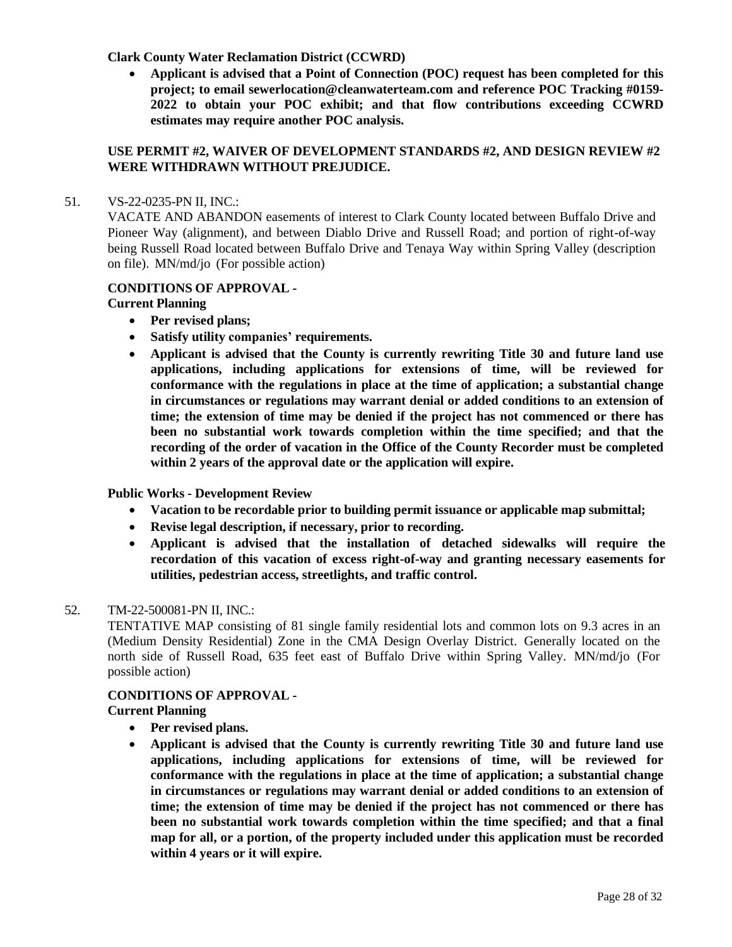#### **Clark County Water Reclamation District (CCWRD)**

• **Applicant is advised that a Point of Connection (POC) request has been completed for this project; to email [sewerlocation@cleanwaterteam.com](mailto:sewerlocation@cleanwaterteam.com) and reference POC Tracking #0159- 2022 to obtain your POC exhibit; and that flow contributions exceeding CCWRD estimates may require another POC analysis.**

#### **USE PERMIT #2, WAIVER OF DEVELOPMENT STANDARDS #2, AND DESIGN REVIEW #2 WERE WITHDRAWN WITHOUT PREJUDICE.**

#### 51. [VS-22-0235-PN](http://clark.legistar.com/gateway.aspx?m=l&id=/matter.aspx%3Fkey%3D8921) II, INC.:

VACATE AND [ABANDON](http://clark.legistar.com/gateway.aspx?m=l&id=/matter.aspx%3Fkey%3D8921) easements of interest to Clark County located between Buffalo Drive and [Pioneer Way \(alignment\), and between Diablo Drive and Russell Road; and portion of right-of-way](http://clark.legistar.com/gateway.aspx?m=l&id=/matter.aspx%3Fkey%3D8921)  being [Russell Road located between Buffalo Drive and Tenaya Way](http://clark.legistar.com/gateway.aspx?m=l&id=/matter.aspx%3Fkey%3D8921) within Spring Valley (description on file). MN/md/jo [\(For possible action\)](http://clark.legistar.com/gateway.aspx?m=l&id=/matter.aspx%3Fkey%3D8921)

#### **CONDITIONS OF APPROVAL -**

#### **Current Planning**

- **Per revised plans;**
- **Satisfy utility companies' requirements.**
- **Applicant is advised that the County is currently rewriting Title 30 and future land use applications, including applications for extensions of time, will be reviewed for conformance with the regulations in place at the time of application; a substantial change in circumstances or regulations may warrant denial or added conditions to an extension of time; the extension of time may be denied if the project has not commenced or there has been no substantial work towards completion within the time specified; and that the recording of the order of vacation in the Office of the County Recorder must be completed within 2 years of the approval date or the application will expire.**

#### **Public Works - Development Review**

- **Vacation to be recordable prior to building permit issuance or applicable map submittal;**
- **Revise legal description, if necessary, prior to recording.**
- **Applicant is advised that the installation of detached sidewalks will require the recordation of this vacation of excess right-of-way and granting necessary easements for utilities, pedestrian access, streetlights, and traffic control.**

#### 52. [TM-22-500081-PN II,](http://clark.legistar.com/gateway.aspx?m=l&id=/matter.aspx%3Fkey%3D8922) INC.:

[TENTATIVE](http://clark.legistar.com/gateway.aspx?m=l&id=/matter.aspx%3Fkey%3D8922) MAP consisting of 81 single family residential lots and common lots on 9.3 acres in an (Medium Density [Residential\)](http://clark.legistar.com/gateway.aspx?m=l&id=/matter.aspx%3Fkey%3D8922) Zone in the CMA Design Overlay District. Generally located on the [north side of Russell Road, 635 feet east of Buffalo Drive within Spring Valley.](http://clark.legistar.com/gateway.aspx?m=l&id=/matter.aspx%3Fkey%3D8922) MN/md/jo (For [possible action\)](http://clark.legistar.com/gateway.aspx?m=l&id=/matter.aspx%3Fkey%3D8922)

#### **CONDITIONS OF APPROVAL -**

- **Per revised plans.**
- **Applicant is advised that the County is currently rewriting Title 30 and future land use applications, including applications for extensions of time, will be reviewed for conformance with the regulations in place at the time of application; a substantial change in circumstances or regulations may warrant denial or added conditions to an extension of time; the extension of time may be denied if the project has not commenced or there has been no substantial work towards completion within the time specified; and that a final map for all, or a portion, of the property included under this application must be recorded within 4 years or it will expire.**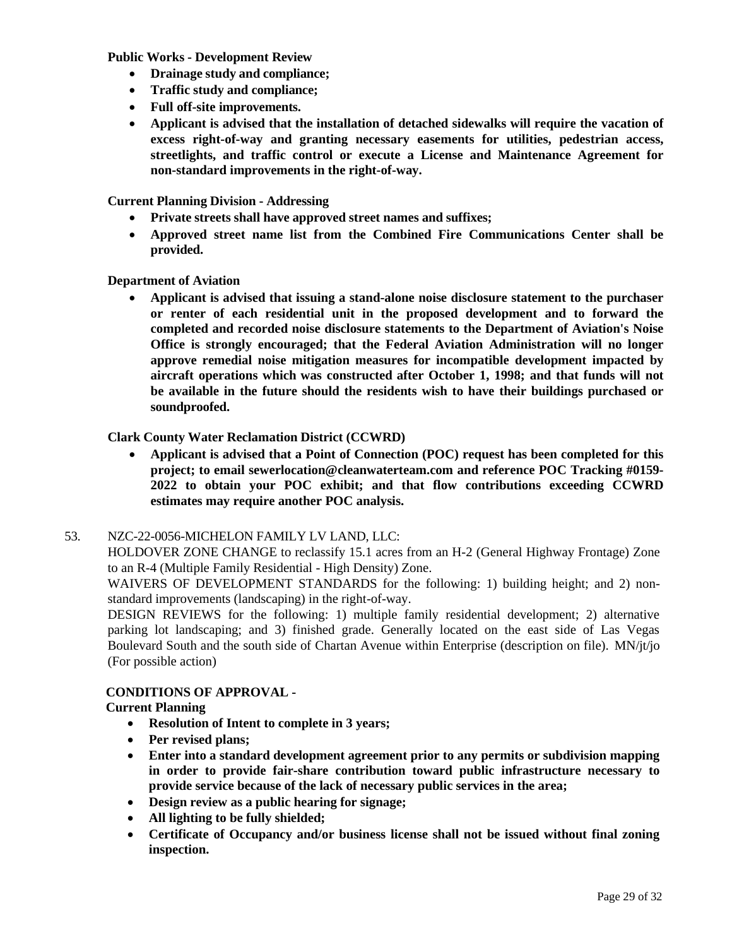**Public Works - Development Review**

- **Drainage study and compliance;**
- **Traffic study and compliance;**
- **Full off-site improvements.**
- **Applicant is advised that the installation of detached sidewalks will require the vacation of excess right-of-way and granting necessary easements for utilities, pedestrian access, streetlights, and traffic control or execute a License and Maintenance Agreement for non-standard improvements in the right-of-way.**

**Current Planning Division - Addressing**

- **Private streets shall have approved street names and suffixes;**
- **Approved street name list from the Combined Fire Communications Center shall be provided.**

**Department of Aviation**

• **Applicant is advised that issuing a stand-alone noise disclosure statement to the purchaser or renter of each residential unit in the proposed development and to forward the completed and recorded noise disclosure statements to the Department of Aviation's Noise Office is strongly encouraged; that the Federal Aviation Administration will no longer approve remedial noise mitigation measures for incompatible development impacted by aircraft operations which was constructed after October 1, 1998; and that funds will not be available in the future should the residents wish to have their buildings purchased or soundproofed.**

#### **Clark County Water Reclamation District (CCWRD)**

• **Applicant is advised that a Point of Connection (POC) request has been completed for this project; to email [sewerlocation@cleanwaterteam.com](mailto:sewerlocation@cleanwaterteam.com) and reference POC Tracking #0159- 2022 to obtain your POC exhibit; and that flow contributions exceeding CCWRD estimates may require another POC analysis.**

#### 53. [NZC-22-0056-MICHELON](http://clark.legistar.com/gateway.aspx?m=l&id=/matter.aspx%3Fkey%3D8923) FAMILY LV LAND, LLC:

[HOLDOVER](http://clark.legistar.com/gateway.aspx?m=l&id=/matter.aspx%3Fkey%3D8923) ZONE CHANGE to reclassify 15.1 acres from an H-2 (General Highway Frontage) Zone [to an R-4 \(Multiple Family Residential -](http://clark.legistar.com/gateway.aspx?m=l&id=/matter.aspx%3Fkey%3D8923) High Density) Zone.

WAIVERS OF [DEVELOPMENT](http://clark.legistar.com/gateway.aspx?m=l&id=/matter.aspx%3Fkey%3D8923) STANDARDS for the following: 1) building height; and 2) non[standard improvements \(landscaping\) in the right-of-way.](http://clark.legistar.com/gateway.aspx?m=l&id=/matter.aspx%3Fkey%3D8923)

[DESIGN REVIEWS for the following: 1\) multiple family residential development; 2\) alternative](http://clark.legistar.com/gateway.aspx?m=l&id=/matter.aspx%3Fkey%3D8923)  [parking lot landscaping; and 3\) finished grade. Generally located on the east side of Las Vegas](http://clark.legistar.com/gateway.aspx?m=l&id=/matter.aspx%3Fkey%3D8923)  Boulevard South and the south side of Chartan Avenue within [Enterprise \(description](http://clark.legistar.com/gateway.aspx?m=l&id=/matter.aspx%3Fkey%3D8923) on file). MN/jt/jo [\(For possible action\)](http://clark.legistar.com/gateway.aspx?m=l&id=/matter.aspx%3Fkey%3D8923)

# **CONDITIONS OF APPROVAL -**

- **Resolution of Intent to complete in 3 years;**
- **Per revised plans;**
- **Enter into a standard development agreement prior to any permits or subdivision mapping in order to provide fair-share contribution toward public infrastructure necessary to provide service because of the lack of necessary public services in the area;**
- **Design review as a public hearing for signage;**
- **All lighting to be fully shielded;**
- **Certificate of Occupancy and/or business license shall not be issued without final zoning inspection.**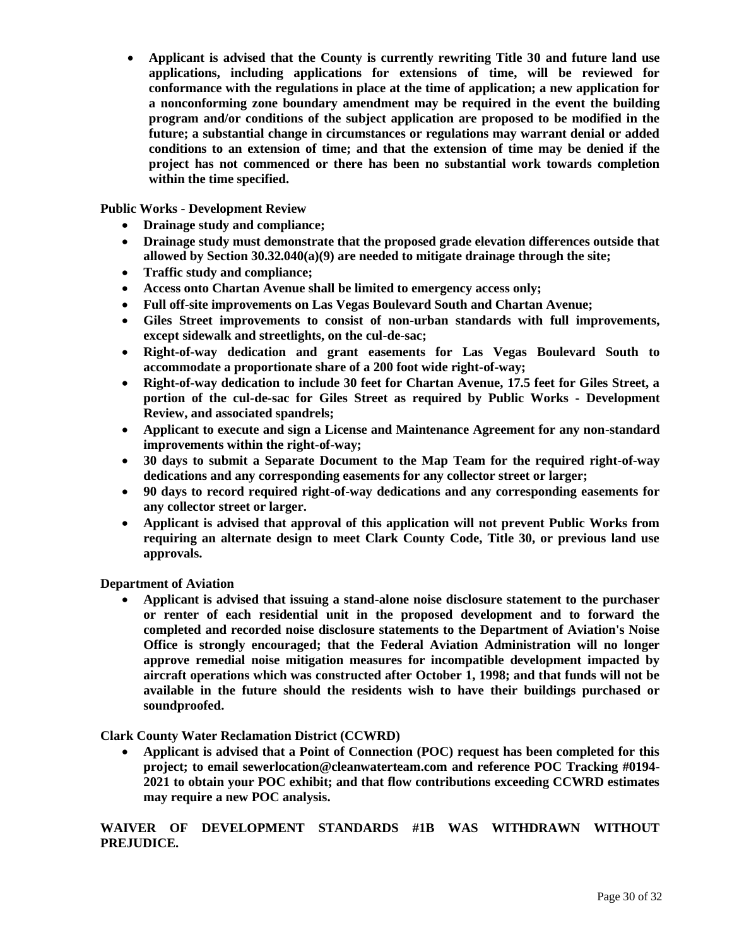• **Applicant is advised that the County is currently rewriting Title 30 and future land use applications, including applications for extensions of time, will be reviewed for conformance with the regulations in place at the time of application; a new application for a nonconforming zone boundary amendment may be required in the event the building program and/or conditions of the subject application are proposed to be modified in the future; a substantial change in circumstances or regulations may warrant denial or added conditions to an extension of time; and that the extension of time may be denied if the project has not commenced or there has been no substantial work towards completion within the time specified.**

**Public Works - Development Review**

- **Drainage study and compliance;**
- **Drainage study must demonstrate that the proposed grade elevation differences outside that allowed by Section 30.32.040(a)(9) are needed to mitigate drainage through the site;**
- **Traffic study and compliance;**
- **Access onto Chartan Avenue shall be limited to emergency access only;**
- **Full off-site improvements on Las Vegas Boulevard South and Chartan Avenue;**
- **Giles Street improvements to consist of non-urban standards with full improvements, except sidewalk and streetlights, on the cul-de-sac;**
- **Right-of-way dedication and grant easements for Las Vegas Boulevard South to accommodate a proportionate share of a 200 foot wide right-of-way;**
- **Right-of-way dedication to include 30 feet for Chartan Avenue, 17.5 feet for Giles Street, a portion of the cul-de-sac for Giles Street as required by Public Works - Development Review, and associated spandrels;**
- **Applicant to execute and sign a License and Maintenance Agreement for any non-standard improvements within the right-of-way;**
- **30 days to submit a Separate Document to the Map Team for the required right-of-way dedications and any corresponding easements for any collector street or larger;**
- **90 days to record required right-of-way dedications and any corresponding easements for any collector street or larger.**
- **Applicant is advised that approval of this application will not prevent Public Works from requiring an alternate design to meet Clark County Code, Title 30, or previous land use approvals.**

**Department of Aviation**

• **Applicant is advised that issuing a stand-alone noise disclosure statement to the purchaser or renter of each residential unit in the proposed development and to forward the completed and recorded noise disclosure statements to the Department of Aviation's Noise Office is strongly encouraged; that the Federal Aviation Administration will no longer approve remedial noise mitigation measures for incompatible development impacted by aircraft operations which was constructed after October 1, 1998; and that funds will not be available in the future should the residents wish to have their buildings purchased or soundproofed.**

**Clark County Water Reclamation District (CCWRD)**

• **Applicant is advised that a Point of Connection (POC) request has been completed for this project; to email sewerlocation@cleanwaterteam.com and reference POC Tracking #0194- 2021 to obtain your POC exhibit; and that flow contributions exceeding CCWRD estimates may require a new POC analysis.** 

**WAIVER OF DEVELOPMENT STANDARDS #1B WAS WITHDRAWN WITHOUT PREJUDICE.**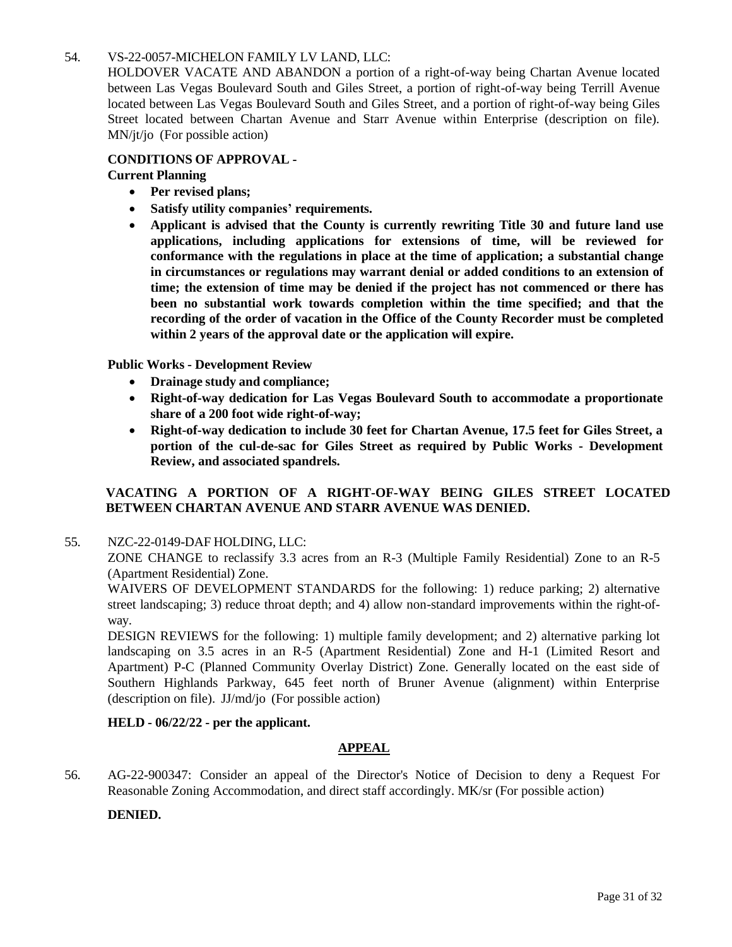# 54. [VS-22-0057-MICHELON FAMILY LV](http://clark.legistar.com/gateway.aspx?m=l&id=/matter.aspx%3Fkey%3D8924) LAND, LLC:

[HOLDOVER VACATE AND ABANDON a portion of a right-of-way being Chartan Avenue located](http://clark.legistar.com/gateway.aspx?m=l&id=/matter.aspx%3Fkey%3D8924)  [between Las Vegas Boulevard South and Giles Street, a portion of right-of-way being Terrill Avenue](http://clark.legistar.com/gateway.aspx?m=l&id=/matter.aspx%3Fkey%3D8924)  located between Las Vegas Boulevard South and Giles Street, and a portion of [right-of-way](http://clark.legistar.com/gateway.aspx?m=l&id=/matter.aspx%3Fkey%3D8924) being Giles [Street located between Chartan Avenue and Starr Avenue within Enterprise \(description on file\).](http://clark.legistar.com/gateway.aspx?m=l&id=/matter.aspx%3Fkey%3D8924) MN/jt/jo [\(For possible action\)](http://clark.legistar.com/gateway.aspx?m=l&id=/matter.aspx%3Fkey%3D8924)

# **CONDITIONS OF APPROVAL -**

# **Current Planning**

- **Per revised plans;**
- **Satisfy utility companies' requirements.**
- **Applicant is advised that the County is currently rewriting Title 30 and future land use applications, including applications for extensions of time, will be reviewed for conformance with the regulations in place at the time of application; a substantial change in circumstances or regulations may warrant denial or added conditions to an extension of time; the extension of time may be denied if the project has not commenced or there has been no substantial work towards completion within the time specified; and that the recording of the order of vacation in the Office of the County Recorder must be completed within 2 years of the approval date or the application will expire.**

**Public Works - Development Review**

- **Drainage study and compliance;**
- **Right-of-way dedication for Las Vegas Boulevard South to accommodate a proportionate share of a 200 foot wide right-of-way;**
- **Right-of-way dedication to include 30 feet for Chartan Avenue, 17.5 feet for Giles Street, a portion of the cul-de-sac for Giles Street as required by Public Works - Development Review, and associated spandrels.**

# **VACATING A PORTION OF A RIGHT-OF-WAY BEING GILES STREET LOCATED BETWEEN CHARTAN AVENUE AND STARR AVENUE WAS DENIED.**

55. [NZC-22-0149-DAF](http://clark.legistar.com/gateway.aspx?m=l&id=/matter.aspx%3Fkey%3D8925) HOLDING, LLC:

ZONE CHANGE to reclassify 3.3 acres from an R-3 (Multiple Family [Residential\)](http://clark.legistar.com/gateway.aspx?m=l&id=/matter.aspx%3Fkey%3D8925) Zone to an R-5 [\(Apartment Residential\) Zone.](http://clark.legistar.com/gateway.aspx?m=l&id=/matter.aspx%3Fkey%3D8925)

WAIVERS OF [DEVELOPMENT](http://clark.legistar.com/gateway.aspx?m=l&id=/matter.aspx%3Fkey%3D8925) STANDARDS for the following: 1) reduce parking; 2) alternative [street landscaping; 3\) reduce throat depth; and 4\) allow non-standard improvements within the](http://clark.legistar.com/gateway.aspx?m=l&id=/matter.aspx%3Fkey%3D8925) [right-of](http://clark.legistar.com/gateway.aspx?m=l&id=/matter.aspx%3Fkey%3D8925)[way.](http://clark.legistar.com/gateway.aspx?m=l&id=/matter.aspx%3Fkey%3D8925)

DESIGN REVIEWS for the following: 1) multiple family [development;](http://clark.legistar.com/gateway.aspx?m=l&id=/matter.aspx%3Fkey%3D8925) and 2) alternative parking lot [landscaping on 3.5 acres in an R-5 \(Apartment Residential\) Zone and H-1 \(Limited Resort](http://clark.legistar.com/gateway.aspx?m=l&id=/matter.aspx%3Fkey%3D8925) and [Apartment\) P-C \(Planned Community Overlay District\) Zone. Generally located on the east side of](http://clark.legistar.com/gateway.aspx?m=l&id=/matter.aspx%3Fkey%3D8925)  [Southern Highlands Parkway, 645 feet north of Bruner Avenue \(alignment\) within Enterprise](http://clark.legistar.com/gateway.aspx?m=l&id=/matter.aspx%3Fkey%3D8925)  (description on file). JJ/md/jo [\(For possible action\)](http://clark.legistar.com/gateway.aspx?m=l&id=/matter.aspx%3Fkey%3D8925)

#### **HELD - 06/22/22 - per the applicant.**

#### **APPEAL**

56. [AG-22-900347:](http://clark.legistar.com/gateway.aspx?m=l&id=/matter.aspx%3Fkey%3D8926) Consider an appeal of the Director's Notice of Decision to deny a Request For Reasonable Zoning [Accommodation, and direct staff accordingly. MK/sr \(For possible action\)](http://clark.legistar.com/gateway.aspx?m=l&id=/matter.aspx%3Fkey%3D8926)

#### **DENIED.**